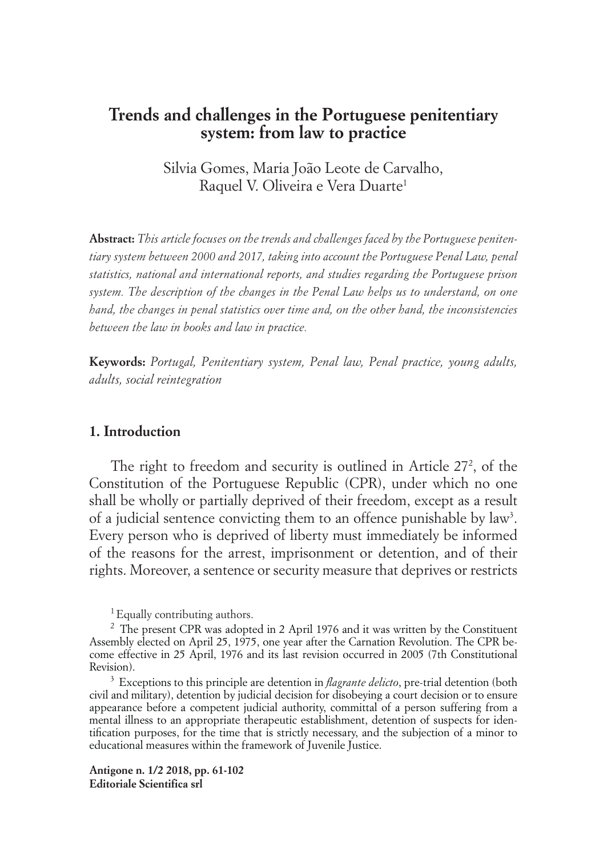# **Trends and challenges in the Portuguese penitentiary system: from law to practice**

Silvia Gomes, Maria João Leote de Carvalho, Raquel V. Oliveira e Vera Duarte<sup>1</sup>

**Abstract:** *This article focuses on the trends and challenges faced by the Portuguese penitentiary system between 2000 and 2017, taking into account the Portuguese Penal Law, penal statistics, national and international reports, and studies regarding the Portuguese prison system. The description of the changes in the Penal Law helps us to understand, on one hand, the changes in penal statistics over time and, on the other hand, the inconsistencies between the law in books and law in practice.*

**Keywords:** *Portugal, Penitentiary system, Penal law, Penal practice, young adults, adults, social reintegration*

## **1. Introduction**

The right to freedom and security is outlined in Article 272 , of the Constitution of the Portuguese Republic (CPR), under which no one shall be wholly or partially deprived of their freedom, except as a result of a judicial sentence convicting them to an offence punishable by law<sup>3</sup>. Every person who is deprived of liberty must immediately be informed of the reasons for the arrest, imprisonment or detention, and of their rights. Moreover, a sentence or security measure that deprives or restricts

<sup>1</sup> Equally contributing authors.

**Antigone n. 1/2 2018, pp. 61-102 Editoriale Scientifica srl**

<sup>&</sup>lt;sup>2</sup> The present CPR was adopted in 2 April 1976 and it was written by the Constituent Assembly elected on April 25, 1975, one year after the Carnation Revolution. The CPR become effective in 25 April, 1976 and its last revision occurred in 2005 (7th Constitutional Revision).

<sup>3</sup> Exceptions to this principle are detention in *flagrante delicto*, pre-trial detention (both civil and military), detention by judicial decision for disobeying a court decision or to ensure appearance before a competent judicial authority, committal of a person suffering from a mental illness to an appropriate therapeutic establishment, detention of suspects for identification purposes, for the time that is strictly necessary, and the subjection of a minor to educational measures within the framework of Juvenile Justice.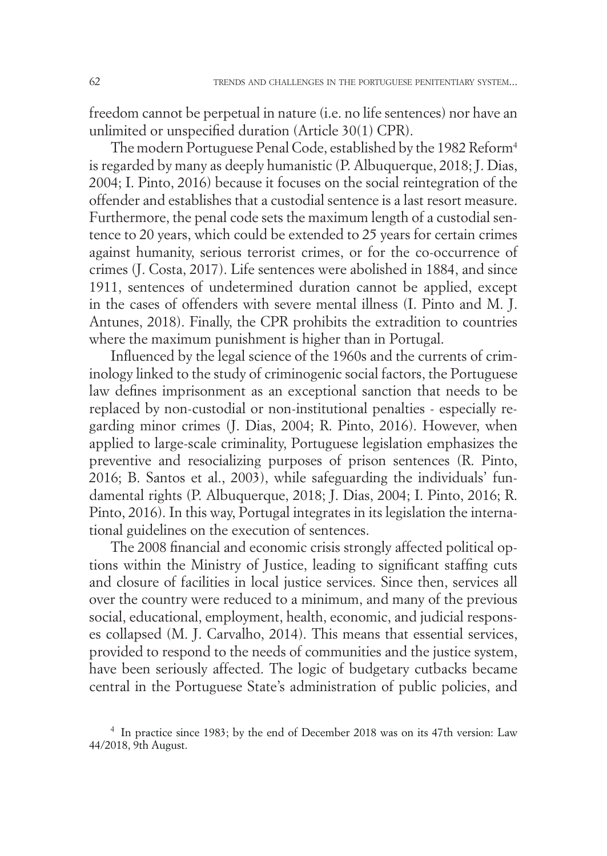freedom cannot be perpetual in nature (i.e. no life sentences) nor have an unlimited or unspecified duration (Article 30(1) CPR).

The modern Portuguese Penal Code, established by the 1982 Reform<sup>4</sup> is regarded by many as deeply humanistic (P. Albuquerque, 2018; J. Dias, 2004; I. Pinto, 2016) because it focuses on the social reintegration of the offender and establishes that a custodial sentence is a last resort measure. Furthermore, the penal code sets the maximum length of a custodial sentence to 20 years, which could be extended to 25 years for certain crimes against humanity, serious terrorist crimes, or for the co-occurrence of crimes (J. Costa, 2017). Life sentences were abolished in 1884, and since 1911, sentences of undetermined duration cannot be applied, except in the cases of offenders with severe mental illness (I. Pinto and M. J. Antunes, 2018). Finally, the CPR prohibits the extradition to countries where the maximum punishment is higher than in Portugal.

Influenced by the legal science of the 1960s and the currents of criminology linked to the study of criminogenic social factors, the Portuguese law defines imprisonment as an exceptional sanction that needs to be replaced by non-custodial or non-institutional penalties - especially regarding minor crimes (J. Dias, 2004; R. Pinto, 2016). However, when applied to large-scale criminality, Portuguese legislation emphasizes the preventive and resocializing purposes of prison sentences (R. Pinto, 2016; B. Santos et al., 2003), while safeguarding the individuals' fundamental rights (P. Albuquerque, 2018; J. Dias, 2004; I. Pinto, 2016; R. Pinto, 2016). In this way, Portugal integrates in its legislation the international guidelines on the execution of sentences.

The 2008 financial and economic crisis strongly affected political options within the Ministry of Justice, leading to significant staffing cuts and closure of facilities in local justice services. Since then, services all over the country were reduced to a minimum, and many of the previous social, educational, employment, health, economic, and judicial responses collapsed (M. J. Carvalho, 2014). This means that essential services, provided to respond to the needs of communities and the justice system, have been seriously affected. The logic of budgetary cutbacks became central in the Portuguese State's administration of public policies, and

<sup>4</sup> In practice since 1983; by the end of December 2018 was on its 47th version: Law 44/2018, 9th August.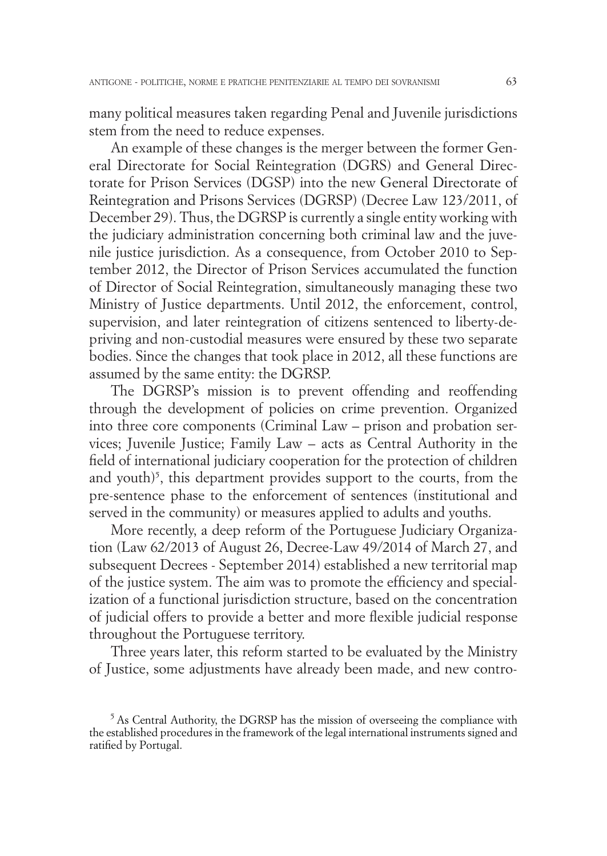many political measures taken regarding Penal and Juvenile jurisdictions stem from the need to reduce expenses.

An example of these changes is the merger between the former General Directorate for Social Reintegration (DGRS) and General Directorate for Prison Services (DGSP) into the new General Directorate of Reintegration and Prisons Services (DGRSP) (Decree Law 123/2011, of December 29). Thus, the DGRSP is currently a single entity working with the judiciary administration concerning both criminal law and the juvenile justice jurisdiction. As a consequence, from October 2010 to September 2012, the Director of Prison Services accumulated the function of Director of Social Reintegration, simultaneously managing these two Ministry of Justice departments. Until 2012, the enforcement, control, supervision, and later reintegration of citizens sentenced to liberty-depriving and non-custodial measures were ensured by these two separate bodies. Since the changes that took place in 2012, all these functions are assumed by the same entity: the DGRSP.

The DGRSP's mission is to prevent offending and reoffending through the development of policies on crime prevention. Organized into three core components (Criminal Law – prison and probation services; Juvenile Justice; Family Law – acts as Central Authority in the field of international judiciary cooperation for the protection of children and youth)<sup>5</sup>, this department provides support to the courts, from the pre-sentence phase to the enforcement of sentences (institutional and served in the community) or measures applied to adults and youths.

More recently, a deep reform of the Portuguese Judiciary Organization (Law 62/2013 of August 26, Decree-Law 49/2014 of March 27, and subsequent Decrees - September 2014) established a new territorial map of the justice system. The aim was to promote the efficiency and specialization of a functional jurisdiction structure, based on the concentration of judicial offers to provide a better and more flexible judicial response throughout the Portuguese territory.

Three years later, this reform started to be evaluated by the Ministry of Justice, some adjustments have already been made, and new contro-

<sup>&</sup>lt;sup>5</sup> As Central Authority, the DGRSP has the mission of overseeing the compliance with the established procedures in the framework of the legal international instruments signed and ratified by Portugal.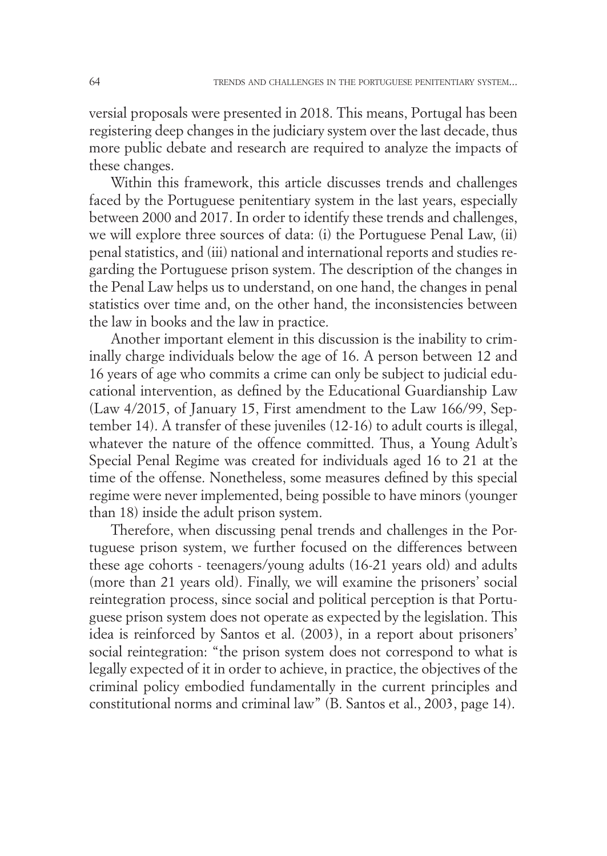versial proposals were presented in 2018. This means, Portugal has been registering deep changes in the judiciary system over the last decade, thus more public debate and research are required to analyze the impacts of these changes.

Within this framework, this article discusses trends and challenges faced by the Portuguese penitentiary system in the last years, especially between 2000 and 2017. In order to identify these trends and challenges, we will explore three sources of data: (i) the Portuguese Penal Law, (ii) penal statistics, and (iii) national and international reports and studies regarding the Portuguese prison system. The description of the changes in the Penal Law helps us to understand, on one hand, the changes in penal statistics over time and, on the other hand, the inconsistencies between the law in books and the law in practice.

Another important element in this discussion is the inability to criminally charge individuals below the age of 16. A person between 12 and 16 years of age who commits a crime can only be subject to judicial educational intervention, as defined by the Educational Guardianship Law (Law 4/2015, of January 15, First amendment to the Law 166/99, September 14). A transfer of these juveniles (12-16) to adult courts is illegal, whatever the nature of the offence committed. Thus, a Young Adult's Special Penal Regime was created for individuals aged 16 to 21 at the time of the offense. Nonetheless, some measures defined by this special regime were never implemented, being possible to have minors (younger than 18) inside the adult prison system.

Therefore, when discussing penal trends and challenges in the Portuguese prison system, we further focused on the differences between these age cohorts - teenagers/young adults (16-21 years old) and adults (more than 21 years old). Finally, we will examine the prisoners' social reintegration process, since social and political perception is that Portuguese prison system does not operate as expected by the legislation. This idea is reinforced by Santos et al. (2003), in a report about prisoners' social reintegration: "the prison system does not correspond to what is legally expected of it in order to achieve, in practice, the objectives of the criminal policy embodied fundamentally in the current principles and constitutional norms and criminal law" (B. Santos et al., 2003, page 14).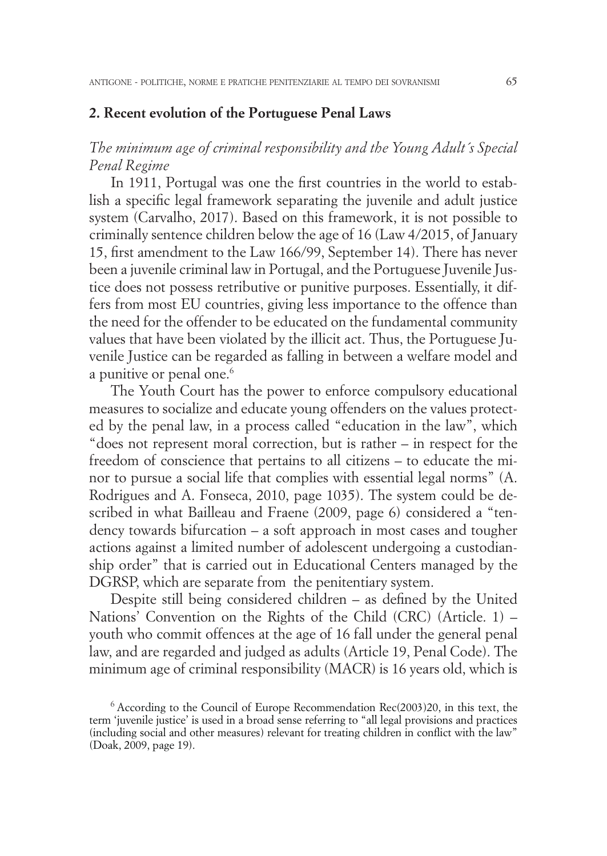#### **2. Recent evolution of the Portuguese Penal Laws**

# *The minimum age of criminal responsibility and the Young Adult´s Special Penal Regime*

In 1911, Portugal was one the first countries in the world to establish a specific legal framework separating the juvenile and adult justice system (Carvalho, 2017). Based on this framework, it is not possible to criminally sentence children below the age of 16 (Law 4/2015, of January 15, first amendment to the Law 166/99, September 14). There has never been a juvenile criminal law in Portugal, and the Portuguese Juvenile Justice does not possess retributive or punitive purposes. Essentially, it differs from most EU countries, giving less importance to the offence than the need for the offender to be educated on the fundamental community values that have been violated by the illicit act. Thus, the Portuguese Juvenile Justice can be regarded as falling in between a welfare model and a punitive or penal one.<sup>6</sup>

The Youth Court has the power to enforce compulsory educational measures to socialize and educate young offenders on the values protected by the penal law, in a process called "education in the law", which "does not represent moral correction, but is rather – in respect for the freedom of conscience that pertains to all citizens – to educate the minor to pursue a social life that complies with essential legal norms" (A. Rodrigues and A. Fonseca, 2010, page 1035). The system could be described in what Bailleau and Fraene (2009, page 6) considered a "tendency towards bifurcation – a soft approach in most cases and tougher actions against a limited number of adolescent undergoing a custodianship order" that is carried out in Educational Centers managed by the DGRSP, which are separate from the penitentiary system.

Despite still being considered children – as defined by the United Nations' Convention on the Rights of the Child (CRC) (Article. 1) – youth who commit offences at the age of 16 fall under the general penal law, and are regarded and judged as adults (Article 19, Penal Code). The minimum age of criminal responsibility (MACR) is 16 years old, which is

 $6$  According to the Council of Europe Recommendation Rec(2003)20, in this text, the term 'juvenile justice' is used in a broad sense referring to "all legal provisions and practices (including social and other measures) relevant for treating children in conflict with the law" (Doak, 2009, page 19).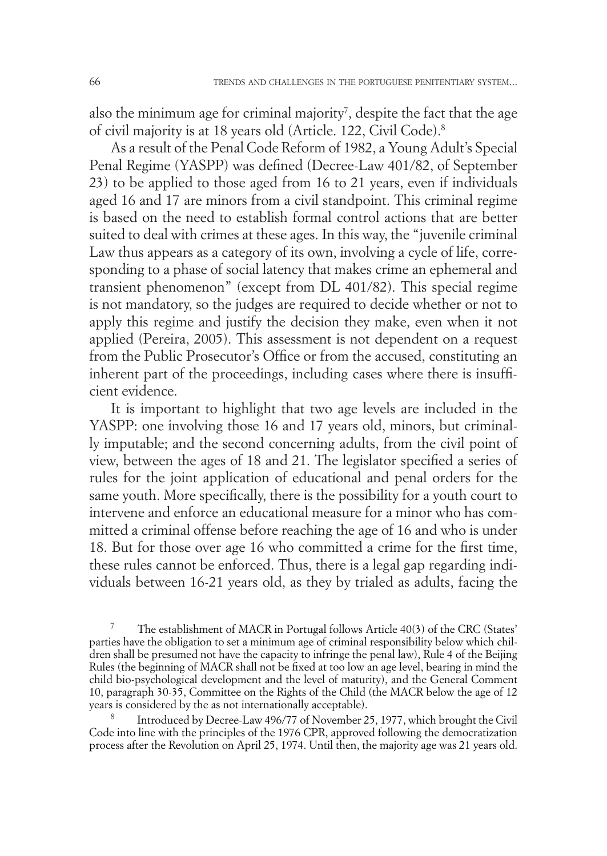also the minimum age for criminal majority<sup>7</sup>, despite the fact that the age of civil majority is at 18 years old (Article. 122, Civil Code).8

As a result of the Penal Code Reform of 1982, a Young Adult's Special Penal Regime (YASPP) was defined (Decree-Law 401/82, of September 23) to be applied to those aged from 16 to 21 years, even if individuals aged 16 and 17 are minors from a civil standpoint. This criminal regime is based on the need to establish formal control actions that are better suited to deal with crimes at these ages. In this way, the "juvenile criminal Law thus appears as a category of its own, involving a cycle of life, corresponding to a phase of social latency that makes crime an ephemeral and transient phenomenon" (except from DL 401/82). This special regime is not mandatory, so the judges are required to decide whether or not to apply this regime and justify the decision they make, even when it not applied (Pereira, 2005). This assessment is not dependent on a request from the Public Prosecutor's Office or from the accused, constituting an inherent part of the proceedings, including cases where there is insufficient evidence.

It is important to highlight that two age levels are included in the YASPP: one involving those 16 and 17 years old, minors, but criminally imputable; and the second concerning adults, from the civil point of view, between the ages of 18 and 21. The legislator specified a series of rules for the joint application of educational and penal orders for the same youth. More specifically, there is the possibility for a youth court to intervene and enforce an educational measure for a minor who has committed a criminal offense before reaching the age of 16 and who is under 18. But for those over age 16 who committed a crime for the first time, these rules cannot be enforced. Thus, there is a legal gap regarding individuals between 16-21 years old, as they by trialed as adults, facing the

<sup>7</sup> The establishment of MACR in Portugal follows Article 40(3) of the CRC (States' parties have the obligation to set a minimum age of criminal responsibility below which children shall be presumed not have the capacity to infringe the penal law), Rule 4 of the Beijing Rules (the beginning of MACR shall not be fixed at too low an age level, bearing in mind the child bio-psychological development and the level of maturity), and the General Comment 10, paragraph 30-35, Committee on the Rights of the Child (the MACR below the age of 12 years is considered by the as not internationally acceptable).

<sup>8</sup> Introduced by Decree-Law 496/77 of November 25, 1977, which brought the Civil Code into line with the principles of the 1976 CPR, approved following the democratization process after the Revolution on April 25, 1974. Until then, the majority age was 21 years old.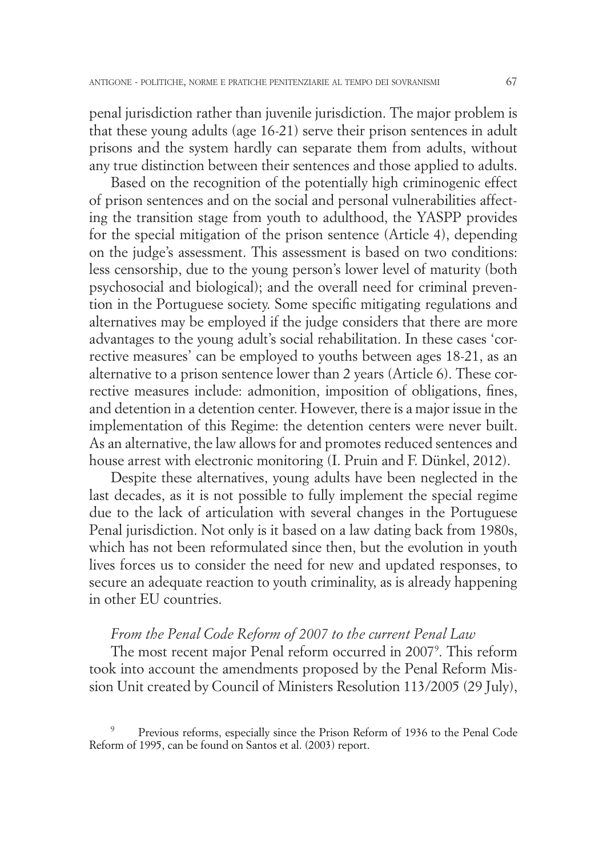penal jurisdiction rather than juvenile jurisdiction. The major problem is that these young adults (age 16-21) serve their prison sentences in adult prisons and the system hardly can separate them from adults, without any true distinction between their sentences and those applied to adults.

Based on the recognition of the potentially high criminogenic effect of prison sentences and on the social and personal vulnerabilities affecting the transition stage from youth to adulthood, the YASPP provides for the special mitigation of the prison sentence (Article 4), depending on the judge's assessment. This assessment is based on two conditions: less censorship, due to the young person's lower level of maturity (both psychosocial and biological); and the overall need for criminal prevention in the Portuguese society. Some specific mitigating regulations and alternatives may be employed if the judge considers that there are more advantages to the young adult's social rehabilitation. In these cases 'corrective measures' can be employed to youths between ages 18-21, as an alternative to a prison sentence lower than 2 years (Article 6). These corrective measures include: admonition, imposition of obligations, fines, and detention in a detention center. However, there is a major issue in the implementation of this Regime: the detention centers were never built. As an alternative, the law allows for and promotes reduced sentences and house arrest with electronic monitoring (I. Pruin and F. Dünkel, 2012).

Despite these alternatives, young adults have been neglected in the last decades, as it is not possible to fully implement the special regime due to the lack of articulation with several changes in the Portuguese Penal jurisdiction. Not only is it based on a law dating back from 1980s, which has not been reformulated since then, but the evolution in youth lives forces us to consider the need for new and updated responses, to secure an adequate reaction to youth criminality, as is already happening in other EU countries.

### *From the Penal Code Reform of 2007 to the current Penal Law*

The most recent major Penal reform occurred in 2007<sup>9</sup>. This reform took into account the amendments proposed by the Penal Reform Mission Unit created by Council of Ministers Resolution 113/2005 (29 July),

<sup>9</sup> Previous reforms, especially since the Prison Reform of 1936 to the Penal Code Reform of 1995, can be found on Santos et al. (2003) report.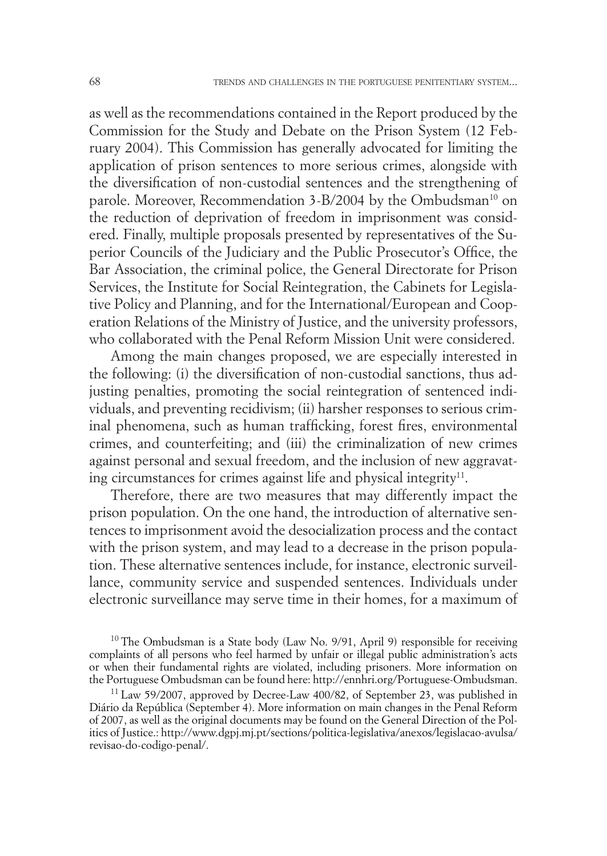as well as the recommendations contained in the Report produced by the Commission for the Study and Debate on the Prison System (12 February 2004). This Commission has generally advocated for limiting the application of prison sentences to more serious crimes, alongside with the diversification of non-custodial sentences and the strengthening of parole. Moreover, Recommendation 3-B/2004 by the Ombudsman<sup>10</sup> on the reduction of deprivation of freedom in imprisonment was considered. Finally, multiple proposals presented by representatives of the Superior Councils of the Judiciary and the Public Prosecutor's Office, the Bar Association, the criminal police, the General Directorate for Prison Services, the Institute for Social Reintegration, the Cabinets for Legislative Policy and Planning, and for the International/European and Cooperation Relations of the Ministry of Justice, and the university professors, who collaborated with the Penal Reform Mission Unit were considered.

Among the main changes proposed, we are especially interested in the following: (i) the diversification of non-custodial sanctions, thus adjusting penalties, promoting the social reintegration of sentenced individuals, and preventing recidivism; (ii) harsher responses to serious criminal phenomena, such as human trafficking, forest fires, environmental crimes, and counterfeiting; and (iii) the criminalization of new crimes against personal and sexual freedom, and the inclusion of new aggravating circumstances for crimes against life and physical integrity $11$ .

Therefore, there are two measures that may differently impact the prison population. On the one hand, the introduction of alternative sentences to imprisonment avoid the desocialization process and the contact with the prison system, and may lead to a decrease in the prison population. These alternative sentences include, for instance, electronic surveillance, community service and suspended sentences. Individuals under electronic surveillance may serve time in their homes, for a maximum of

<sup>10</sup> The Ombudsman is a State body (Law No. 9/91, April 9) responsible for receiving complaints of all persons who feel harmed by unfair or illegal public administration's acts or when their fundamental rights are violated, including prisoners. More information on the Portuguese Ombudsman can be found here: http://ennhri.org/Portuguese-Ombudsman.

 $11$  Law 59/2007, approved by Decree-Law 400/82, of September 23, was published in Diário da República (September 4). More information on main changes in the Penal Reform of 2007, as well as the original documents may be found on the General Direction of the Politics of Justice.: http://www.dgpj.mj.pt/sections/politica-legislativa/anexos/legislacao-avulsa/ revisao-do-codigo-penal/.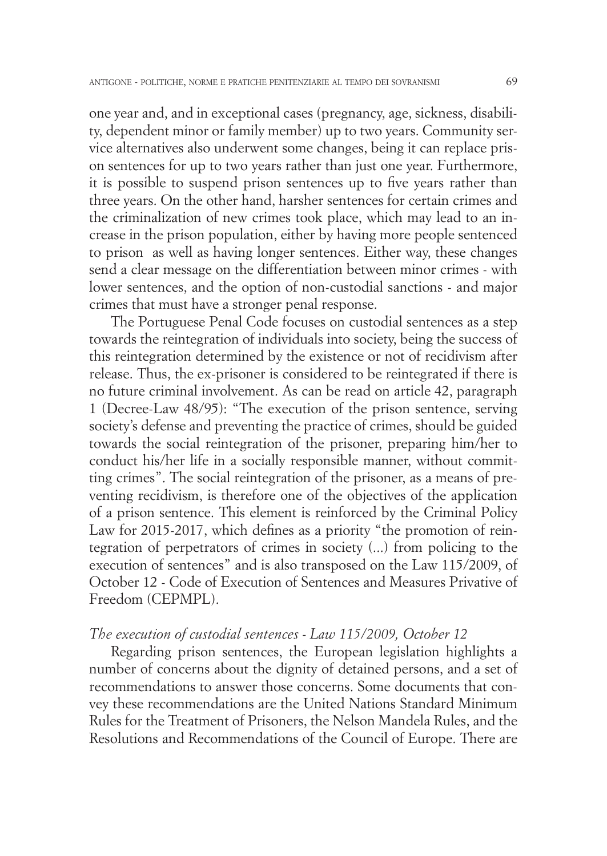one year and, and in exceptional cases (pregnancy, age, sickness, disability, dependent minor or family member) up to two years. Community service alternatives also underwent some changes, being it can replace prison sentences for up to two years rather than just one year. Furthermore, it is possible to suspend prison sentences up to five years rather than three years. On the other hand, harsher sentences for certain crimes and the criminalization of new crimes took place, which may lead to an increase in the prison population, either by having more people sentenced to prison as well as having longer sentences. Either way, these changes send a clear message on the differentiation between minor crimes - with lower sentences, and the option of non-custodial sanctions - and major crimes that must have a stronger penal response.

The Portuguese Penal Code focuses on custodial sentences as a step towards the reintegration of individuals into society, being the success of this reintegration determined by the existence or not of recidivism after release. Thus, the ex-prisoner is considered to be reintegrated if there is no future criminal involvement. As can be read on article 42, paragraph 1 (Decree-Law 48/95): "The execution of the prison sentence, serving society's defense and preventing the practice of crimes, should be guided towards the social reintegration of the prisoner, preparing him/her to conduct his/her life in a socially responsible manner, without committing crimes". The social reintegration of the prisoner, as a means of preventing recidivism, is therefore one of the objectives of the application of a prison sentence. This element is reinforced by the Criminal Policy Law for 2015-2017, which defines as a priority "the promotion of reintegration of perpetrators of crimes in society (...) from policing to the execution of sentences" and is also transposed on the Law 115/2009, of October 12 - Code of Execution of Sentences and Measures Privative of Freedom (CEPMPL).

#### *The execution of custodial sentences - Law 115/2009, October 12*

Regarding prison sentences, the European legislation highlights a number of concerns about the dignity of detained persons, and a set of recommendations to answer those concerns. Some documents that convey these recommendations are the United Nations Standard Minimum Rules for the Treatment of Prisoners, the Nelson Mandela Rules, and the Resolutions and Recommendations of the Council of Europe. There are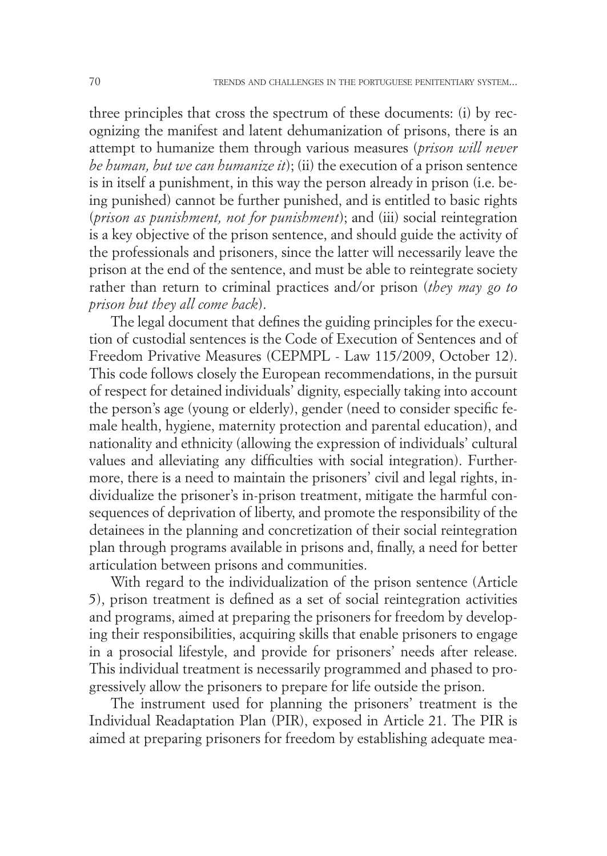three principles that cross the spectrum of these documents: (i) by recognizing the manifest and latent dehumanization of prisons, there is an attempt to humanize them through various measures (*prison will never be human, but we can humanize it*); (ii) the execution of a prison sentence is in itself a punishment, in this way the person already in prison (i.e. being punished) cannot be further punished, and is entitled to basic rights (*prison as punishment, not for punishment*); and (iii) social reintegration is a key objective of the prison sentence, and should guide the activity of the professionals and prisoners, since the latter will necessarily leave the prison at the end of the sentence, and must be able to reintegrate society rather than return to criminal practices and/or prison (*they may go to prison but they all come back*).

The legal document that defines the guiding principles for the execution of custodial sentences is the Code of Execution of Sentences and of Freedom Privative Measures (CEPMPL - Law 115/2009, October 12). This code follows closely the European recommendations, in the pursuit of respect for detained individuals' dignity, especially taking into account the person's age (young or elderly), gender (need to consider specific female health, hygiene, maternity protection and parental education), and nationality and ethnicity (allowing the expression of individuals' cultural values and alleviating any difficulties with social integration). Furthermore, there is a need to maintain the prisoners' civil and legal rights, individualize the prisoner's in-prison treatment, mitigate the harmful consequences of deprivation of liberty, and promote the responsibility of the detainees in the planning and concretization of their social reintegration plan through programs available in prisons and, finally, a need for better articulation between prisons and communities.

With regard to the individualization of the prison sentence (Article 5), prison treatment is defined as a set of social reintegration activities and programs, aimed at preparing the prisoners for freedom by developing their responsibilities, acquiring skills that enable prisoners to engage in a prosocial lifestyle, and provide for prisoners' needs after release. This individual treatment is necessarily programmed and phased to progressively allow the prisoners to prepare for life outside the prison.

The instrument used for planning the prisoners' treatment is the Individual Readaptation Plan (PIR), exposed in Article 21. The PIR is aimed at preparing prisoners for freedom by establishing adequate mea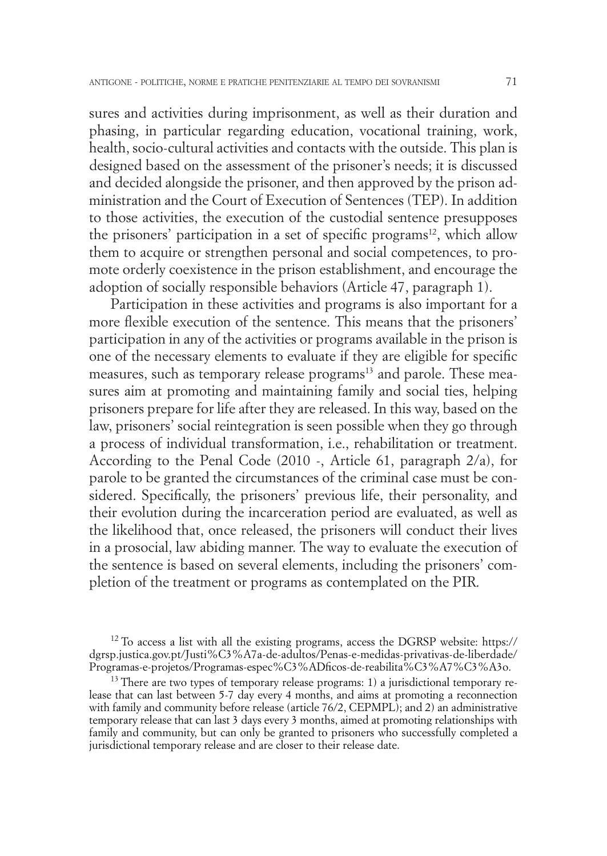sures and activities during imprisonment, as well as their duration and phasing, in particular regarding education, vocational training, work, health, socio-cultural activities and contacts with the outside. This plan is designed based on the assessment of the prisoner's needs; it is discussed and decided alongside the prisoner, and then approved by the prison administration and the Court of Execution of Sentences (TEP). In addition to those activities, the execution of the custodial sentence presupposes the prisoners' participation in a set of specific programs<sup>12</sup>, which allow them to acquire or strengthen personal and social competences, to promote orderly coexistence in the prison establishment, and encourage the adoption of socially responsible behaviors (Article 47, paragraph 1).

Participation in these activities and programs is also important for a more flexible execution of the sentence. This means that the prisoners' participation in any of the activities or programs available in the prison is one of the necessary elements to evaluate if they are eligible for specific measures, such as temporary release programs<sup>13</sup> and parole. These measures aim at promoting and maintaining family and social ties, helping prisoners prepare for life after they are released. In this way, based on the law, prisoners' social reintegration is seen possible when they go through a process of individual transformation, i.e., rehabilitation or treatment. According to the Penal Code (2010 -, Article 61, paragraph 2/a), for parole to be granted the circumstances of the criminal case must be considered. Specifically, the prisoners' previous life, their personality, and their evolution during the incarceration period are evaluated, as well as the likelihood that, once released, the prisoners will conduct their lives in a prosocial, law abiding manner. The way to evaluate the execution of the sentence is based on several elements, including the prisoners' completion of the treatment or programs as contemplated on the PIR.

<sup>12</sup> To access a list with all the existing programs, access the DGRSP website: https:// dgrsp.justica.gov.pt/Justi%C3%A7a-de-adultos/Penas-e-medidas-privativas-de-liberdade/

 $^{13}$  There are two types of temporary release programs: 1) a jurisdictional temporary release that can last between 5-7 day every 4 months, and aims at promoting a reconnection with family and community before release (article 76/2, CEPMPL); and 2) an administrative temporary release that can last 3 days every 3 months, aimed at promoting relationships with family and community, but can only be granted to prisoners who successfully completed a jurisdictional temporary release and are closer to their release date.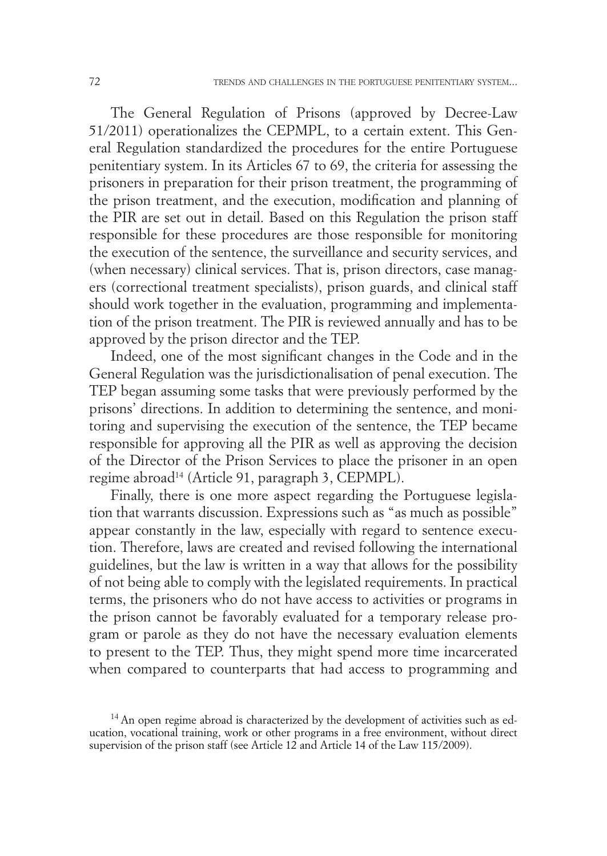The General Regulation of Prisons (approved by Decree-Law 51/2011) operationalizes the CEPMPL, to a certain extent. This General Regulation standardized the procedures for the entire Portuguese penitentiary system. In its Articles 67 to 69, the criteria for assessing the prisoners in preparation for their prison treatment, the programming of the prison treatment, and the execution, modification and planning of the PIR are set out in detail. Based on this Regulation the prison staff responsible for these procedures are those responsible for monitoring the execution of the sentence, the surveillance and security services, and (when necessary) clinical services. That is, prison directors, case managers (correctional treatment specialists), prison guards, and clinical staff should work together in the evaluation, programming and implementation of the prison treatment. The PIR is reviewed annually and has to be approved by the prison director and the TEP.

Indeed, one of the most significant changes in the Code and in the General Regulation was the jurisdictionalisation of penal execution. The TEP began assuming some tasks that were previously performed by the prisons' directions. In addition to determining the sentence, and monitoring and supervising the execution of the sentence, the TEP became responsible for approving all the PIR as well as approving the decision of the Director of the Prison Services to place the prisoner in an open regime abroad<sup>14</sup> (Article 91, paragraph 3, CEPMPL).

Finally, there is one more aspect regarding the Portuguese legislation that warrants discussion. Expressions such as "as much as possible" appear constantly in the law, especially with regard to sentence execution. Therefore, laws are created and revised following the international guidelines, but the law is written in a way that allows for the possibility of not being able to comply with the legislated requirements. In practical terms, the prisoners who do not have access to activities or programs in the prison cannot be favorably evaluated for a temporary release program or parole as they do not have the necessary evaluation elements to present to the TEP. Thus, they might spend more time incarcerated when compared to counterparts that had access to programming and

<sup>&</sup>lt;sup>14</sup> An open regime abroad is characterized by the development of activities such as education, vocational training, work or other programs in a free environment, without direct supervision of the prison staff (see Article 12 and Article 14 of the Law 115/2009).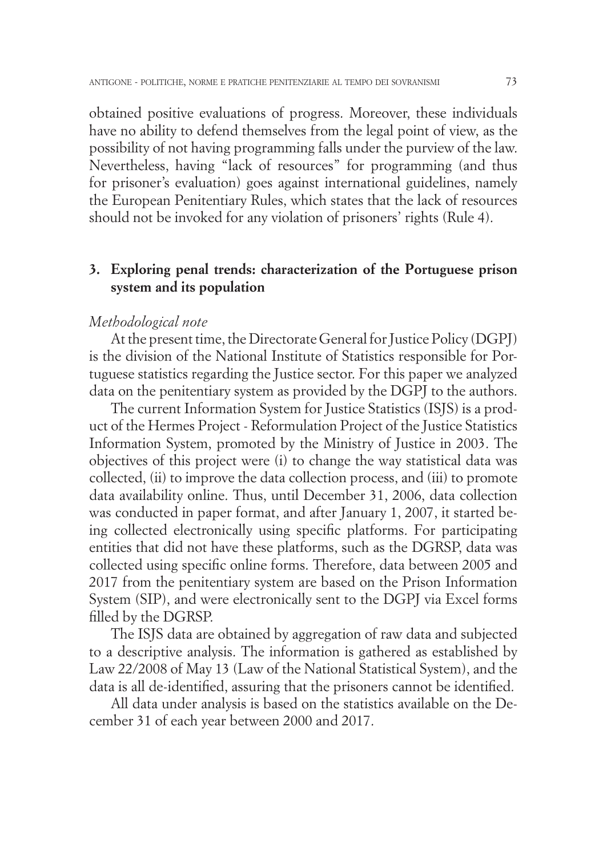obtained positive evaluations of progress. Moreover, these individuals have no ability to defend themselves from the legal point of view, as the possibility of not having programming falls under the purview of the law. Nevertheless, having "lack of resources" for programming (and thus for prisoner's evaluation) goes against international guidelines, namely the European Penitentiary Rules, which states that the lack of resources should not be invoked for any violation of prisoners' rights (Rule 4).

## **3. Exploring penal trends: characterization of the Portuguese prison system and its population**

#### *Methodological note*

At the present time, the Directorate General for Justice Policy (DGPJ) is the division of the National Institute of Statistics responsible for Portuguese statistics regarding the Justice sector. For this paper we analyzed data on the penitentiary system as provided by the DGPJ to the authors.

The current Information System for Justice Statistics (ISJS) is a product of the Hermes Project - Reformulation Project of the Justice Statistics Information System, promoted by the Ministry of Justice in 2003. The objectives of this project were (i) to change the way statistical data was collected, (ii) to improve the data collection process, and (iii) to promote data availability online. Thus, until December 31, 2006, data collection was conducted in paper format, and after January 1, 2007, it started being collected electronically using specific platforms. For participating entities that did not have these platforms, such as the DGRSP, data was collected using specific online forms. Therefore, data between 2005 and 2017 from the penitentiary system are based on the Prison Information System (SIP), and were electronically sent to the DGPJ via Excel forms filled by the DGRSP.

The ISJS data are obtained by aggregation of raw data and subjected to a descriptive analysis. The information is gathered as established by Law 22/2008 of May 13 (Law of the National Statistical System), and the data is all de-identified, assuring that the prisoners cannot be identified.

All data under analysis is based on the statistics available on the December 31 of each year between 2000 and 2017.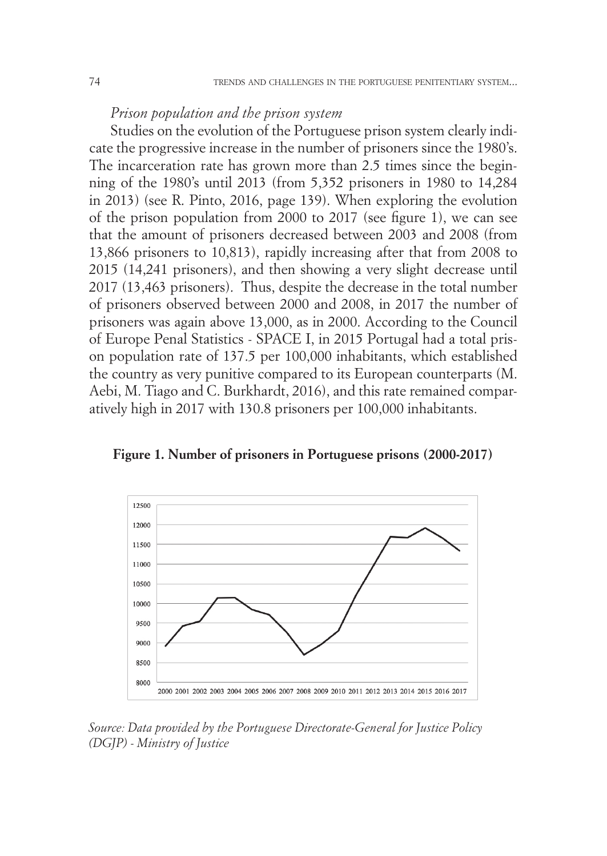# *Prison population and the prison system*

Studies on the evolution of the Portuguese prison system clearly indicate the progressive increase in the number of prisoners since the 1980's. The incarceration rate has grown more than 2.5 times since the beginning of the 1980's until 2013 (from 5,352 prisoners in 1980 to 14,284 in 2013) (see R. Pinto, 2016, page 139). When exploring the evolution of the prison population from 2000 to 2017 (see figure 1), we can see that the amount of prisoners decreased between 2003 and 2008 (from 13,866 prisoners to 10,813), rapidly increasing after that from 2008 to 2015 (14,241 prisoners), and then showing a very slight decrease until 2017 (13,463 prisoners). Thus, despite the decrease in the total number of prisoners observed between 2000 and 2008, in 2017 the number of prisoners was again above 13,000, as in 2000. According to the Council of Europe Penal Statistics - SPACE I, in 2015 Portugal had a total prison population rate of 137.5 per 100,000 inhabitants, which established the country as very punitive compared to its European counterparts (M. Aebi, M. Tiago and C. Burkhardt, 2016), and this rate remained comparatively high in 2017 with 130.8 prisoners per 100,000 inhabitants.



**Figure 1. Number of prisoners in Portuguese prisons (2000-2017)**

*Source: Data provided by the Portuguese Directorate-General for Justice Policy (DGJP) - Ministry of Justice*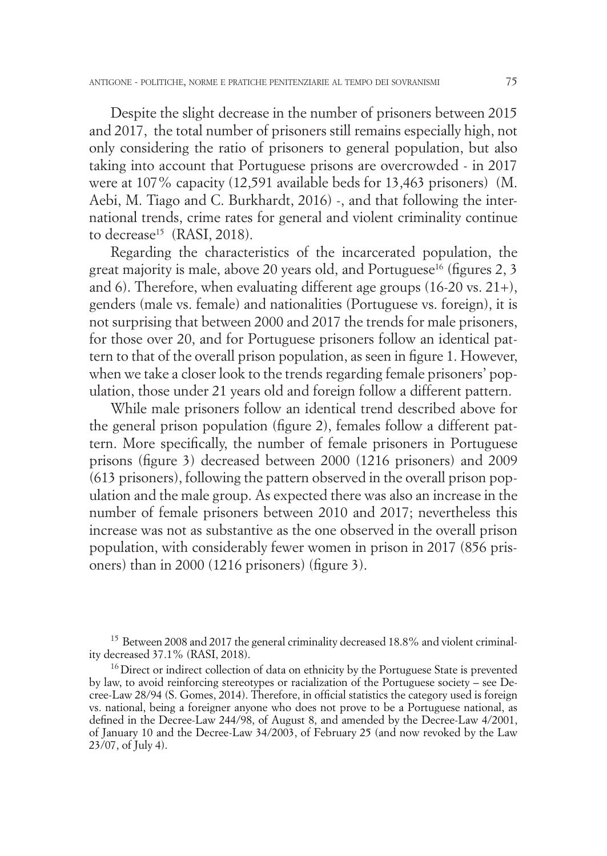Despite the slight decrease in the number of prisoners between 2015 and 2017, the total number of prisoners still remains especially high, not only considering the ratio of prisoners to general population, but also taking into account that Portuguese prisons are overcrowded - in 2017 were at 107% capacity (12,591 available beds for 13,463 prisoners) (M. Aebi, M. Tiago and C. Burkhardt, 2016) -, and that following the international trends, crime rates for general and violent criminality continue to decrease<sup>15</sup> (RASI, 2018).

Regarding the characteristics of the incarcerated population, the great majority is male, above 20 years old, and Portuguese<sup>16</sup> (figures 2, 3) and 6). Therefore, when evaluating different age groups (16-20 vs. 21+), genders (male vs. female) and nationalities (Portuguese vs. foreign), it is not surprising that between 2000 and 2017 the trends for male prisoners, for those over 20, and for Portuguese prisoners follow an identical pattern to that of the overall prison population, as seen in figure 1. However, when we take a closer look to the trends regarding female prisoners' population, those under 21 years old and foreign follow a different pattern.

While male prisoners follow an identical trend described above for the general prison population (figure 2), females follow a different pattern. More specifically, the number of female prisoners in Portuguese prisons (figure 3) decreased between 2000 (1216 prisoners) and 2009 (613 prisoners), following the pattern observed in the overall prison population and the male group. As expected there was also an increase in the number of female prisoners between 2010 and 2017; nevertheless this increase was not as substantive as the one observed in the overall prison population, with considerably fewer women in prison in 2017 (856 prisoners) than in 2000 (1216 prisoners) (figure 3).

<sup>15</sup> Between 2008 and 2017 the general criminality decreased 18.8% and violent criminality decreased 37.1% (RASI, 2018).

 $16$  Direct or indirect collection of data on ethnicity by the Portuguese State is prevented by law, to avoid reinforcing stereotypes or racialization of the Portuguese society – see Decree-Law 28/94 (S. Gomes, 2014). Therefore, in official statistics the category used is foreign vs. national, being a foreigner anyone who does not prove to be a Portuguese national, as defined in the Decree-Law 244/98, of August 8, and amended by the Decree-Law 4/2001, of January 10 and the Decree-Law 34/2003, of February 25 (and now revoked by the Law 23/07, of July 4).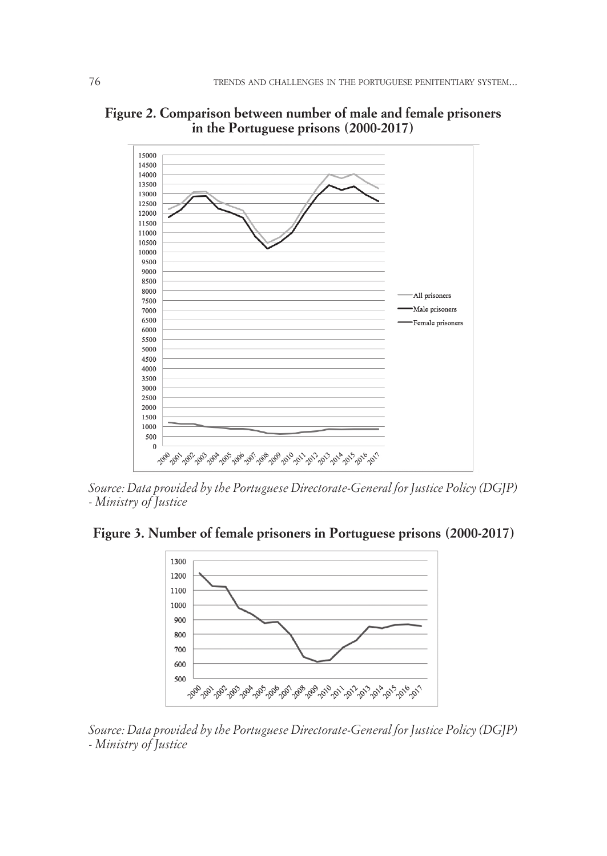

**Figure 2. Comparison between number of male and female prisoners in the Portuguese prisons (2000-2017)**

*Source: Data provided by the Portuguese Directorate-General for Justice Policy (DGJP) - Ministry of Justice*

**Figure 3. Number of female prisoners in Portuguese prisons (2000-2017)**



*Source: Data provided by the Portuguese Directorate-General for Justice Policy (DGJP) - Ministry of Justice*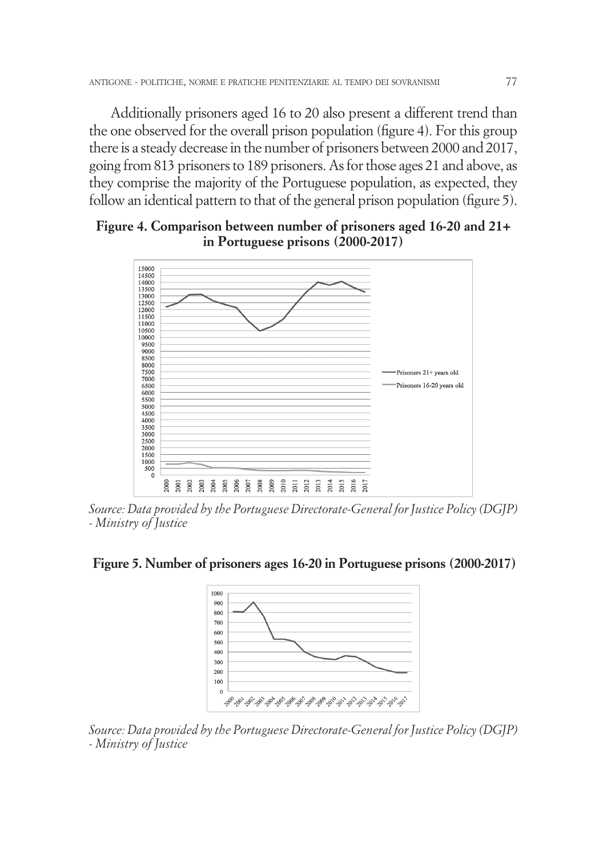Additionally prisoners aged 16 to 20 also present a different trend than the one observed for the overall prison population (figure 4). For this group there is a steady decrease in the number of prisoners between 2000 and 2017, going from 813 prisoners to 189 prisoners. As for those ages 21 and above, as they comprise the majority of the Portuguese population, as expected, they follow an identical pattern to that of the general prison population (figure 5).

## **Figure 4. Comparison between number of prisoners aged 16-20 and 21+ in Portuguese prisons (2000-2017)**



*Source: Data provided by the Portuguese Directorate-General for Justice Policy (DGJP) - Ministry of Justice*

#### **Figure 5. Number of prisoners ages 16-20 in Portuguese prisons (2000-2017)**



*Source: Data provided by the Portuguese Directorate-General for Justice Policy (DGJP) - Ministry of Justice*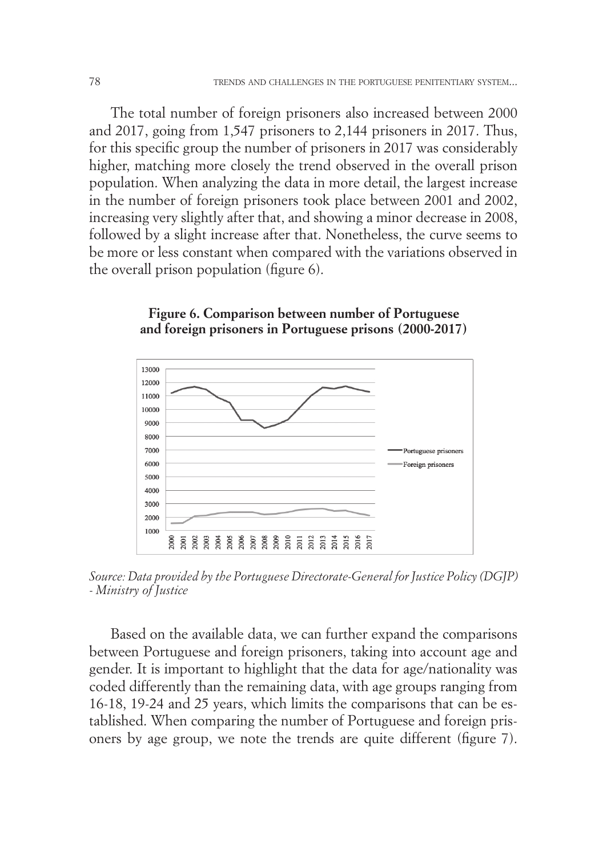The total number of foreign prisoners also increased between 2000 and 2017, going from 1,547 prisoners to 2,144 prisoners in 2017. Thus, for this specific group the number of prisoners in 2017 was considerably higher, matching more closely the trend observed in the overall prison population. When analyzing the data in more detail, the largest increase in the number of foreign prisoners took place between 2001 and 2002, increasing very slightly after that, and showing a minor decrease in 2008, followed by a slight increase after that. Nonetheless, the curve seems to be more or less constant when compared with the variations observed in the overall prison population (figure 6).





*Source: Data provided by the Portuguese Directorate-General for Justice Policy (DGJP) - Ministry of Justice*

Based on the available data, we can further expand the comparisons between Portuguese and foreign prisoners, taking into account age and gender. It is important to highlight that the data for age/nationality was coded differently than the remaining data, with age groups ranging from 16-18, 19-24 and 25 years, which limits the comparisons that can be established. When comparing the number of Portuguese and foreign prisoners by age group, we note the trends are quite different (figure 7).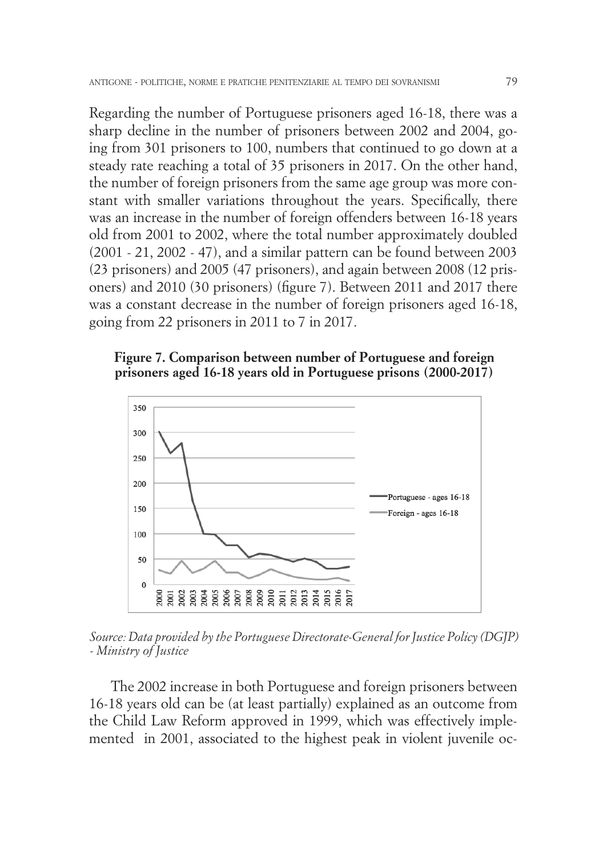Regarding the number of Portuguese prisoners aged 16-18, there was a sharp decline in the number of prisoners between 2002 and 2004, going from 301 prisoners to 100, numbers that continued to go down at a steady rate reaching a total of 35 prisoners in 2017. On the other hand, the number of foreign prisoners from the same age group was more constant with smaller variations throughout the years. Specifically, there was an increase in the number of foreign offenders between 16-18 years old from 2001 to 2002, where the total number approximately doubled (2001 - 21, 2002 - 47), and a similar pattern can be found between 2003 (23 prisoners) and 2005 (47 prisoners), and again between 2008 (12 prisoners) and 2010 (30 prisoners) (figure 7). Between 2011 and 2017 there was a constant decrease in the number of foreign prisoners aged 16-18, going from 22 prisoners in 2011 to 7 in 2017.





*Source: Data provided by the Portuguese Directorate-General for Justice Policy (DGJP) - Ministry of Justice*

The 2002 increase in both Portuguese and foreign prisoners between 16-18 years old can be (at least partially) explained as an outcome from the Child Law Reform approved in 1999, which was effectively implemented in 2001, associated to the highest peak in violent juvenile oc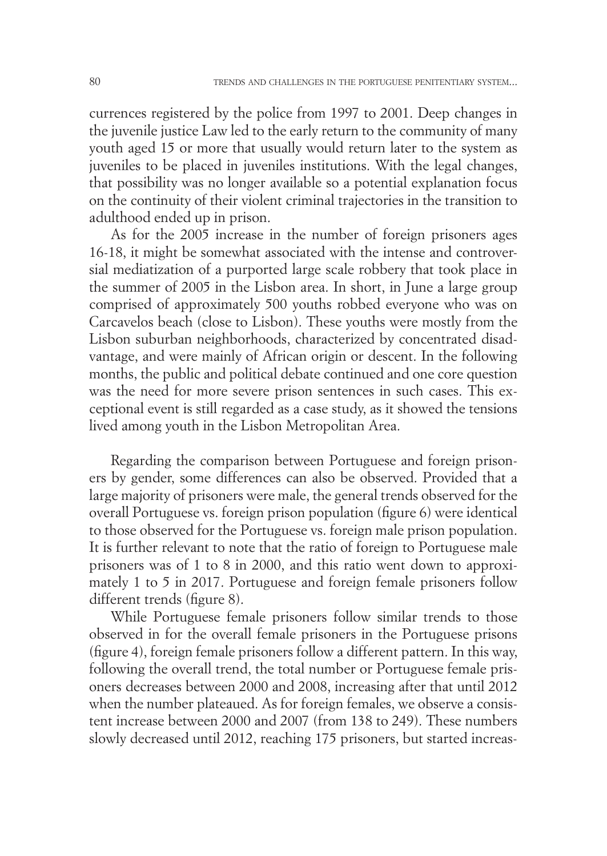currences registered by the police from 1997 to 2001. Deep changes in the juvenile justice Law led to the early return to the community of many youth aged 15 or more that usually would return later to the system as juveniles to be placed in juveniles institutions. With the legal changes, that possibility was no longer available so a potential explanation focus on the continuity of their violent criminal trajectories in the transition to adulthood ended up in prison.

As for the 2005 increase in the number of foreign prisoners ages 16-18, it might be somewhat associated with the intense and controversial mediatization of a purported large scale robbery that took place in the summer of 2005 in the Lisbon area. In short, in June a large group comprised of approximately 500 youths robbed everyone who was on Carcavelos beach (close to Lisbon). These youths were mostly from the Lisbon suburban neighborhoods, characterized by concentrated disadvantage, and were mainly of African origin or descent. In the following months, the public and political debate continued and one core question was the need for more severe prison sentences in such cases. This exceptional event is still regarded as a case study, as it showed the tensions lived among youth in the Lisbon Metropolitan Area.

Regarding the comparison between Portuguese and foreign prisoners by gender, some differences can also be observed. Provided that a large majority of prisoners were male, the general trends observed for the overall Portuguese vs. foreign prison population (figure 6) were identical to those observed for the Portuguese vs. foreign male prison population. It is further relevant to note that the ratio of foreign to Portuguese male prisoners was of 1 to 8 in 2000, and this ratio went down to approximately 1 to 5 in 2017. Portuguese and foreign female prisoners follow different trends (figure 8).

While Portuguese female prisoners follow similar trends to those observed in for the overall female prisoners in the Portuguese prisons (figure 4), foreign female prisoners follow a different pattern. In this way, following the overall trend, the total number or Portuguese female prisoners decreases between 2000 and 2008, increasing after that until 2012 when the number plateaued. As for foreign females, we observe a consistent increase between 2000 and 2007 (from 138 to 249). These numbers slowly decreased until 2012, reaching 175 prisoners, but started increas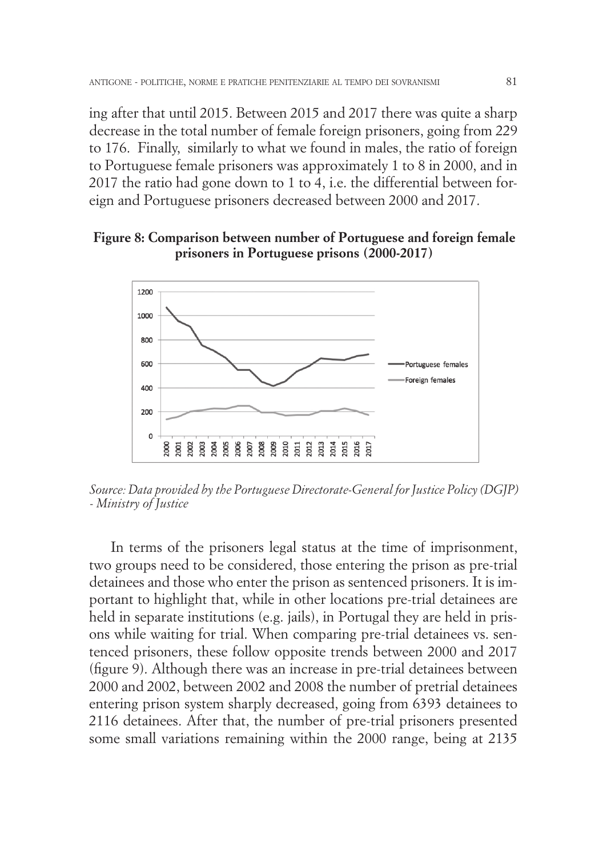ing after that until 2015. Between 2015 and 2017 there was quite a sharp decrease in the total number of female foreign prisoners, going from 229 to 176. Finally, similarly to what we found in males, the ratio of foreign to Portuguese female prisoners was approximately 1 to 8 in 2000, and in 2017 the ratio had gone down to 1 to 4, i.e. the differential between foreign and Portuguese prisoners decreased between 2000 and 2017.

#### **Figure 8: Comparison between number of Portuguese and foreign female prisoners in Portuguese prisons (2000-2017)**



*Source: Data provided by the Portuguese Directorate-General for Justice Policy (DGJP) - Ministry of Justice*

In terms of the prisoners legal status at the time of imprisonment, two groups need to be considered, those entering the prison as pre-trial detainees and those who enter the prison as sentenced prisoners. It is important to highlight that, while in other locations pre-trial detainees are held in separate institutions (e.g. jails), in Portugal they are held in prisons while waiting for trial. When comparing pre-trial detainees vs. sentenced prisoners, these follow opposite trends between 2000 and 2017 (figure 9). Although there was an increase in pre-trial detainees between 2000 and 2002, between 2002 and 2008 the number of pretrial detainees entering prison system sharply decreased, going from 6393 detainees to 2116 detainees. After that, the number of pre-trial prisoners presented some small variations remaining within the 2000 range, being at 2135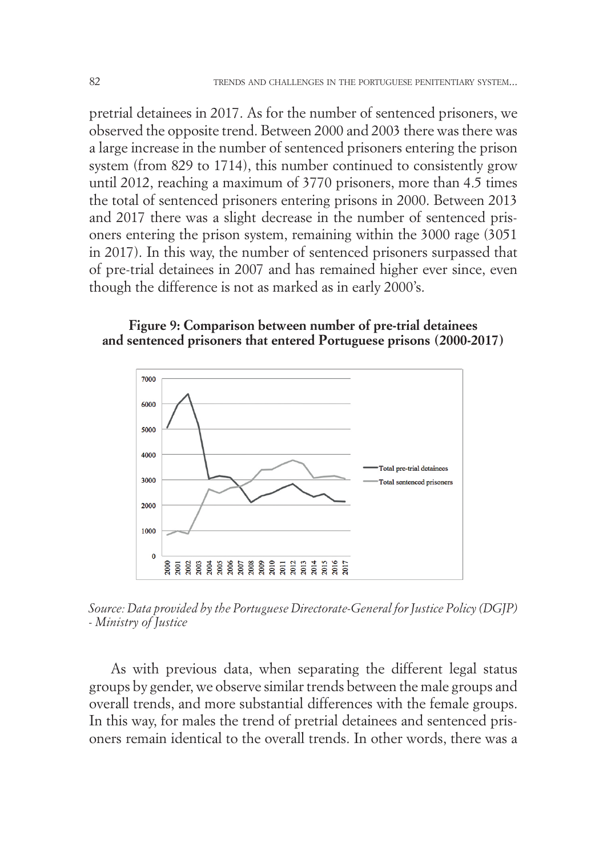pretrial detainees in 2017. As for the number of sentenced prisoners, we observed the opposite trend. Between 2000 and 2003 there was there was a large increase in the number of sentenced prisoners entering the prison system (from 829 to 1714), this number continued to consistently grow until 2012, reaching a maximum of 3770 prisoners, more than 4.5 times the total of sentenced prisoners entering prisons in 2000. Between 2013 and 2017 there was a slight decrease in the number of sentenced prisoners entering the prison system, remaining within the 3000 rage (3051 in 2017). In this way, the number of sentenced prisoners surpassed that of pre-trial detainees in 2007 and has remained higher ever since, even though the difference is not as marked as in early 2000's.

### **Figure 9: Comparison between number of pre-trial detainees and sentenced prisoners that entered Portuguese prisons (2000-2017)**



*Source: Data provided by the Portuguese Directorate-General for Justice Policy (DGJP) - Ministry of Justice*

As with previous data, when separating the different legal status groups by gender, we observe similar trends between the male groups and overall trends, and more substantial differences with the female groups. In this way, for males the trend of pretrial detainees and sentenced prisoners remain identical to the overall trends. In other words, there was a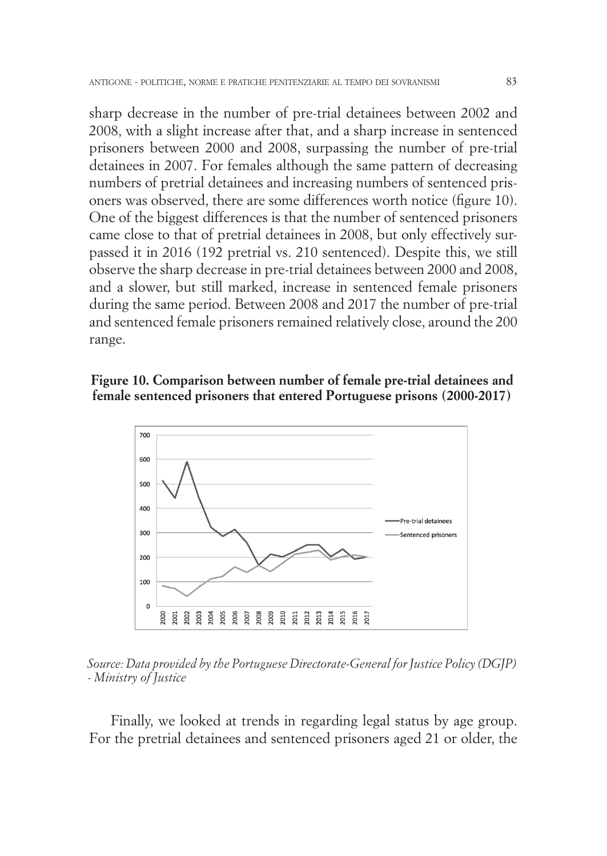sharp decrease in the number of pre-trial detainees between 2002 and 2008, with a slight increase after that, and a sharp increase in sentenced prisoners between 2000 and 2008, surpassing the number of pre-trial detainees in 2007. For females although the same pattern of decreasing numbers of pretrial detainees and increasing numbers of sentenced prisoners was observed, there are some differences worth notice (figure 10). One of the biggest differences is that the number of sentenced prisoners came close to that of pretrial detainees in 2008, but only effectively surpassed it in 2016 (192 pretrial vs. 210 sentenced). Despite this, we still observe the sharp decrease in pre-trial detainees between 2000 and 2008, and a slower, but still marked, increase in sentenced female prisoners during the same period. Between 2008 and 2017 the number of pre-trial and sentenced female prisoners remained relatively close, around the 200 range.

#### **Figure 10. Comparison between number of female pre-trial detainees and female sentenced prisoners that entered Portuguese prisons (2000-2017)**



*Source: Data provided by the Portuguese Directorate-General for Justice Policy (DGJP) - Ministry of Justice*

Finally, we looked at trends in regarding legal status by age group. For the pretrial detainees and sentenced prisoners aged 21 or older, the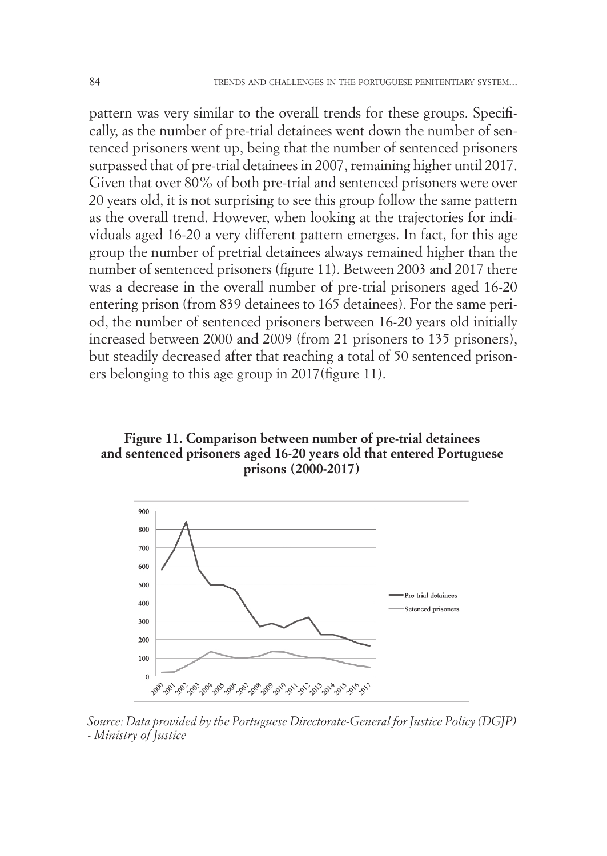pattern was very similar to the overall trends for these groups. Specifically, as the number of pre-trial detainees went down the number of sentenced prisoners went up, being that the number of sentenced prisoners surpassed that of pre-trial detainees in 2007, remaining higher until 2017. Given that over 80% of both pre-trial and sentenced prisoners were over 20 years old, it is not surprising to see this group follow the same pattern as the overall trend. However, when looking at the trajectories for individuals aged 16-20 a very different pattern emerges. In fact, for this age group the number of pretrial detainees always remained higher than the number of sentenced prisoners (figure 11). Between 2003 and 2017 there was a decrease in the overall number of pre-trial prisoners aged 16-20 entering prison (from 839 detainees to 165 detainees). For the same period, the number of sentenced prisoners between 16-20 years old initially increased between 2000 and 2009 (from 21 prisoners to 135 prisoners), but steadily decreased after that reaching a total of 50 sentenced prisoners belonging to this age group in 2017(figure 11).

#### **Figure 11. Comparison between number of pre-trial detainees and sentenced prisoners aged 16-20 years old that entered Portuguese prisons (2000-2017)**



*Source: Data provided by the Portuguese Directorate-General for Justice Policy (DGJP) - Ministry of Justice*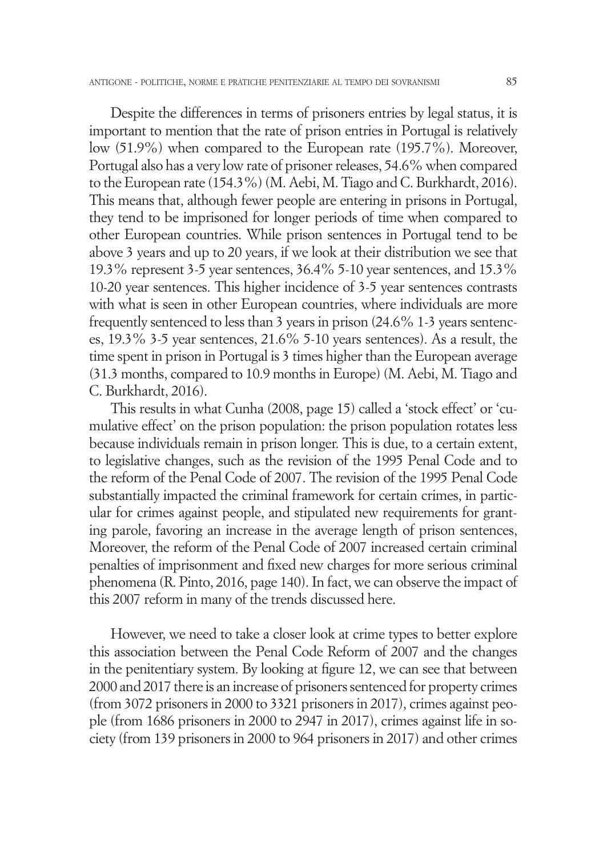Despite the differences in terms of prisoners entries by legal status, it is important to mention that the rate of prison entries in Portugal is relatively low (51.9%) when compared to the European rate (195.7%). Moreover, Portugal also has a very low rate of prisoner releases, 54.6% when compared to the European rate (154.3%) (M. Aebi, M. Tiago and C. Burkhardt, 2016). This means that, although fewer people are entering in prisons in Portugal, they tend to be imprisoned for longer periods of time when compared to other European countries. While prison sentences in Portugal tend to be above 3 years and up to 20 years, if we look at their distribution we see that 19.3% represent 3-5 year sentences, 36.4% 5-10 year sentences, and 15.3% 10-20 year sentences. This higher incidence of 3-5 year sentences contrasts with what is seen in other European countries, where individuals are more frequently sentenced to less than 3 years in prison (24.6% 1-3 years sentences, 19.3% 3-5 year sentences, 21.6% 5-10 years sentences). As a result, the time spent in prison in Portugal is 3 times higher than the European average (31.3 months, compared to 10.9 months in Europe) (M. Aebi, M. Tiago and C. Burkhardt, 2016).

This results in what Cunha (2008, page 15) called a 'stock effect' or 'cumulative effect' on the prison population: the prison population rotates less because individuals remain in prison longer. This is due, to a certain extent, to legislative changes, such as the revision of the 1995 Penal Code and to the reform of the Penal Code of 2007. The revision of the 1995 Penal Code substantially impacted the criminal framework for certain crimes, in particular for crimes against people, and stipulated new requirements for granting parole, favoring an increase in the average length of prison sentences, Moreover, the reform of the Penal Code of 2007 increased certain criminal penalties of imprisonment and fixed new charges for more serious criminal phenomena (R. Pinto, 2016, page 140). In fact, we can observe the impact of this 2007 reform in many of the trends discussed here.

However, we need to take a closer look at crime types to better explore this association between the Penal Code Reform of 2007 and the changes in the penitentiary system. By looking at figure 12, we can see that between 2000 and 2017 there is an increase of prisoners sentenced for property crimes (from 3072 prisoners in 2000 to 3321 prisoners in 2017), crimes against people (from 1686 prisoners in 2000 to 2947 in 2017), crimes against life in society (from 139 prisoners in 2000 to 964 prisoners in 2017) and other crimes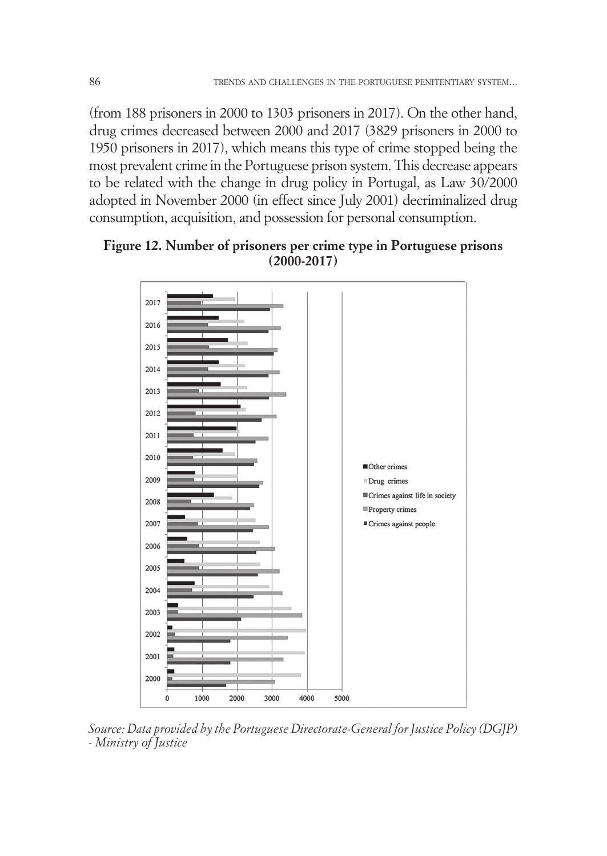(from 188 prisoners in 2000 to 1303 prisoners in 2017). On the other hand, drug crimes decreased between 2000 and 2017 (3829 prisoners in 2000 to 1950 prisoners in 2017), which means this type of crime stopped being the most prevalent crime in the Portuguese prison system. This decrease appears to be related with the change in drug policy in Portugal, as Law 30/2000 adopted in November 2000 (in effect since July 2001) decriminalized drug consumption, acquisition, and possession for personal consumption.

## **Figure 12. Number of prisoners per crime type in Portuguese prisons (2000-2017)**



*Source: Data provided by the Portuguese Directorate-General for Justice Policy (DGJP) - Ministry of Justice*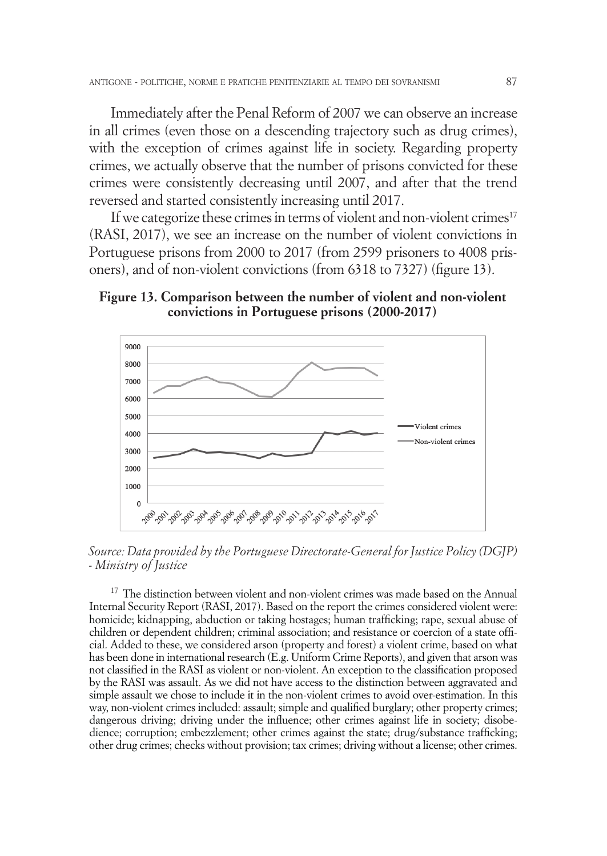Immediately after the Penal Reform of 2007 we can observe an increase in all crimes (even those on a descending trajectory such as drug crimes), with the exception of crimes against life in society. Regarding property crimes, we actually observe that the number of prisons convicted for these crimes were consistently decreasing until 2007, and after that the trend reversed and started consistently increasing until 2017.

If we categorize these crimes in terms of violent and non-violent crimes<sup>17</sup> (RASI, 2017), we see an increase on the number of violent convictions in Portuguese prisons from 2000 to 2017 (from 2599 prisoners to 4008 prisoners), and of non-violent convictions (from 6318 to 7327) (figure 13).

## **Figure 13. Comparison between the number of violent and non-violent convictions in Portuguese prisons (2000-2017)**



*Source: Data provided by the Portuguese Directorate-General for Justice Policy (DGJP) - Ministry of Justice*

 $17$  The distinction between violent and non-violent crimes was made based on the Annual Internal Security Report (RASI, 2017). Based on the report the crimes considered violent were: homicide; kidnapping, abduction or taking hostages; human trafficking; rape, sexual abuse of children or dependent children; criminal association; and resistance or coercion of a state official. Added to these, we considered arson (property and forest) a violent crime, based on what has been done in international research (E.g. Uniform Crime Reports), and given that arson was not classified in the RASI as violent or non-violent. An exception to the classification proposed by the RASI was assault. As we did not have access to the distinction between aggravated and simple assault we chose to include it in the non-violent crimes to avoid over-estimation. In this way, non-violent crimes included: assault; simple and qualified burglary; other property crimes; dangerous driving; driving under the influence; other crimes against life in society; disobedience; corruption; embezzlement; other crimes against the state; drug/substance trafficking; other drug crimes; checks without provision; tax crimes; driving without a license; other crimes.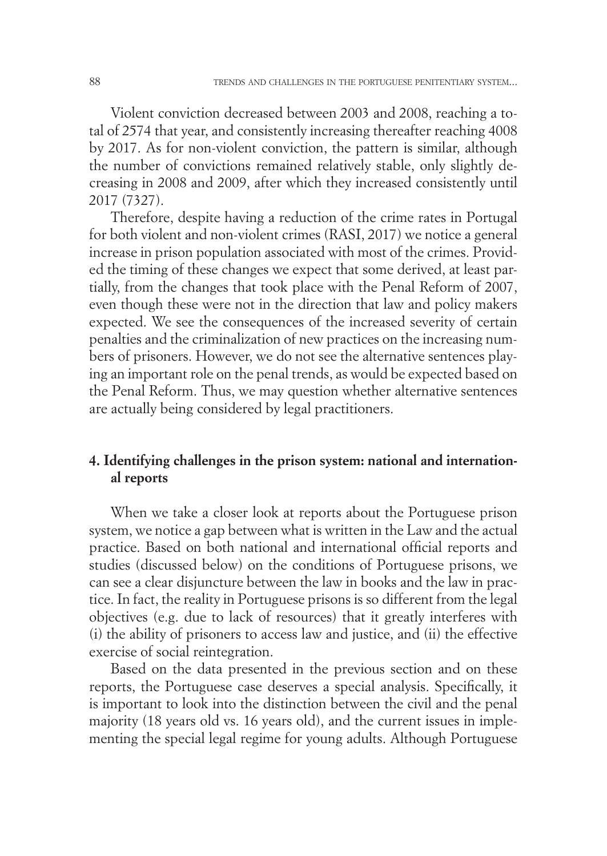Violent conviction decreased between 2003 and 2008, reaching a total of 2574 that year, and consistently increasing thereafter reaching 4008 by 2017. As for non-violent conviction, the pattern is similar, although the number of convictions remained relatively stable, only slightly decreasing in 2008 and 2009, after which they increased consistently until 2017 (7327).

Therefore, despite having a reduction of the crime rates in Portugal for both violent and non-violent crimes (RASI, 2017) we notice a general increase in prison population associated with most of the crimes. Provided the timing of these changes we expect that some derived, at least partially, from the changes that took place with the Penal Reform of 2007, even though these were not in the direction that law and policy makers expected. We see the consequences of the increased severity of certain penalties and the criminalization of new practices on the increasing numbers of prisoners. However, we do not see the alternative sentences playing an important role on the penal trends, as would be expected based on the Penal Reform. Thus, we may question whether alternative sentences are actually being considered by legal practitioners.

## **4. Identifying challenges in the prison system: national and international reports**

When we take a closer look at reports about the Portuguese prison system, we notice a gap between what is written in the Law and the actual practice. Based on both national and international official reports and studies (discussed below) on the conditions of Portuguese prisons, we can see a clear disjuncture between the law in books and the law in practice. In fact, the reality in Portuguese prisons is so different from the legal objectives (e.g. due to lack of resources) that it greatly interferes with (i) the ability of prisoners to access law and justice, and (ii) the effective exercise of social reintegration.

Based on the data presented in the previous section and on these reports, the Portuguese case deserves a special analysis. Specifically, it is important to look into the distinction between the civil and the penal majority (18 years old vs. 16 years old), and the current issues in implementing the special legal regime for young adults. Although Portuguese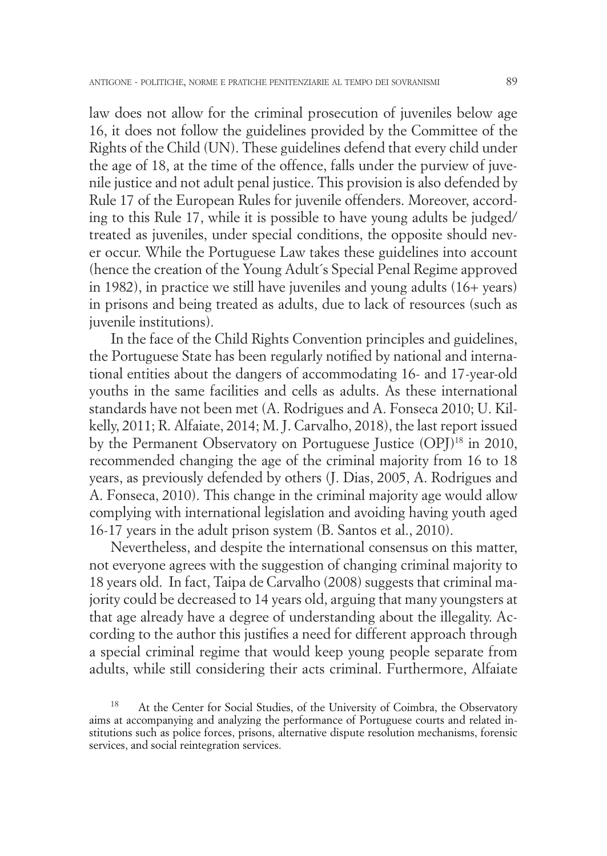law does not allow for the criminal prosecution of juveniles below age 16, it does not follow the guidelines provided by the Committee of the Rights of the Child (UN). These guidelines defend that every child under the age of 18, at the time of the offence, falls under the purview of juvenile justice and not adult penal justice. This provision is also defended by Rule 17 of the European Rules for juvenile offenders. Moreover, according to this Rule 17, while it is possible to have young adults be judged/ treated as juveniles, under special conditions, the opposite should never occur. While the Portuguese Law takes these guidelines into account (hence the creation of the Young Adult´s Special Penal Regime approved in 1982), in practice we still have juveniles and young adults (16+ years) in prisons and being treated as adults, due to lack of resources (such as juvenile institutions).

In the face of the Child Rights Convention principles and guidelines, the Portuguese State has been regularly notified by national and international entities about the dangers of accommodating 16- and 17-year-old youths in the same facilities and cells as adults. As these international standards have not been met (A. Rodrigues and A. Fonseca 2010; U. Kilkelly, 2011; R. Alfaiate, 2014; M. J. Carvalho, 2018), the last report issued by the Permanent Observatory on Portuguese Justice (OPJ)<sup>18</sup> in 2010, recommended changing the age of the criminal majority from 16 to 18 years, as previously defended by others (J. Dias, 2005, A. Rodrigues and A. Fonseca, 2010). This change in the criminal majority age would allow complying with international legislation and avoiding having youth aged 16-17 years in the adult prison system (B. Santos et al., 2010).

Nevertheless, and despite the international consensus on this matter, not everyone agrees with the suggestion of changing criminal majority to 18 years old. In fact, Taipa de Carvalho (2008) suggests that criminal majority could be decreased to 14 years old, arguing that many youngsters at that age already have a degree of understanding about the illegality. According to the author this justifies a need for different approach through a special criminal regime that would keep young people separate from adults, while still considering their acts criminal. Furthermore, Alfaiate

At the Center for Social Studies, of the University of Coimbra, the Observatory aims at accompanying and analyzing the performance of Portuguese courts and related institutions such as police forces, prisons, alternative dispute resolution mechanisms, forensic services, and social reintegration services.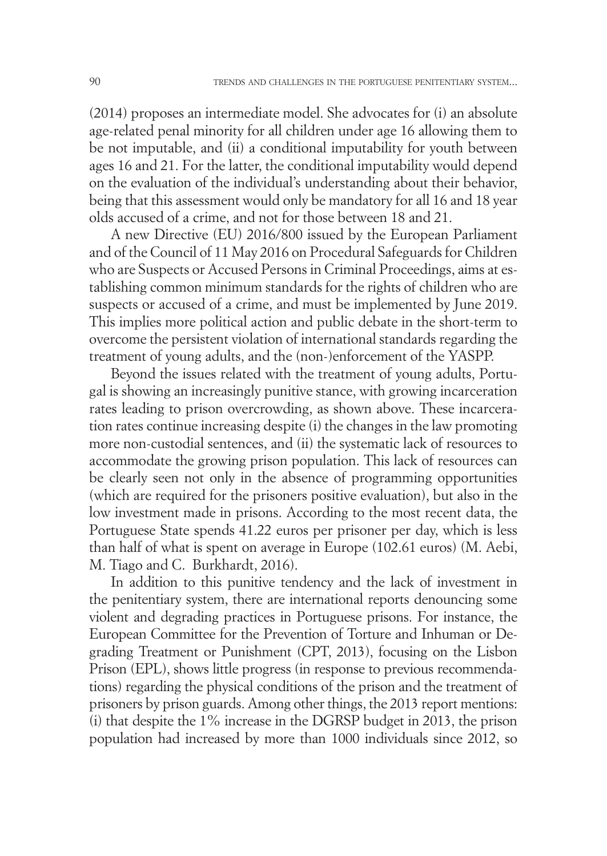(2014) proposes an intermediate model. She advocates for (i) an absolute age-related penal minority for all children under age 16 allowing them to be not imputable, and (ii) a conditional imputability for youth between ages 16 and 21. For the latter, the conditional imputability would depend on the evaluation of the individual's understanding about their behavior, being that this assessment would only be mandatory for all 16 and 18 year olds accused of a crime, and not for those between 18 and 21.

A new Directive (EU) 2016/800 issued by the European Parliament and of the Council of 11 May 2016 on Procedural Safeguards for Children who are Suspects or Accused Persons in Criminal Proceedings, aims at establishing common minimum standards for the rights of children who are suspects or accused of a crime, and must be implemented by June 2019. This implies more political action and public debate in the short-term to overcome the persistent violation of international standards regarding the treatment of young adults, and the (non-)enforcement of the YASPP.

Beyond the issues related with the treatment of young adults, Portugal is showing an increasingly punitive stance, with growing incarceration rates leading to prison overcrowding, as shown above. These incarceration rates continue increasing despite (i) the changes in the law promoting more non-custodial sentences, and (ii) the systematic lack of resources to accommodate the growing prison population. This lack of resources can be clearly seen not only in the absence of programming opportunities (which are required for the prisoners positive evaluation), but also in the low investment made in prisons. According to the most recent data, the Portuguese State spends 41.22 euros per prisoner per day, which is less than half of what is spent on average in Europe (102.61 euros) (M. Aebi, M. Tiago and C. Burkhardt, 2016).

In addition to this punitive tendency and the lack of investment in the penitentiary system, there are international reports denouncing some violent and degrading practices in Portuguese prisons. For instance, the European Committee for the Prevention of Torture and Inhuman or Degrading Treatment or Punishment (CPT, 2013), focusing on the Lisbon Prison (EPL), shows little progress (in response to previous recommendations) regarding the physical conditions of the prison and the treatment of prisoners by prison guards. Among other things, the 2013 report mentions: (i) that despite the 1% increase in the DGRSP budget in 2013, the prison population had increased by more than 1000 individuals since 2012, so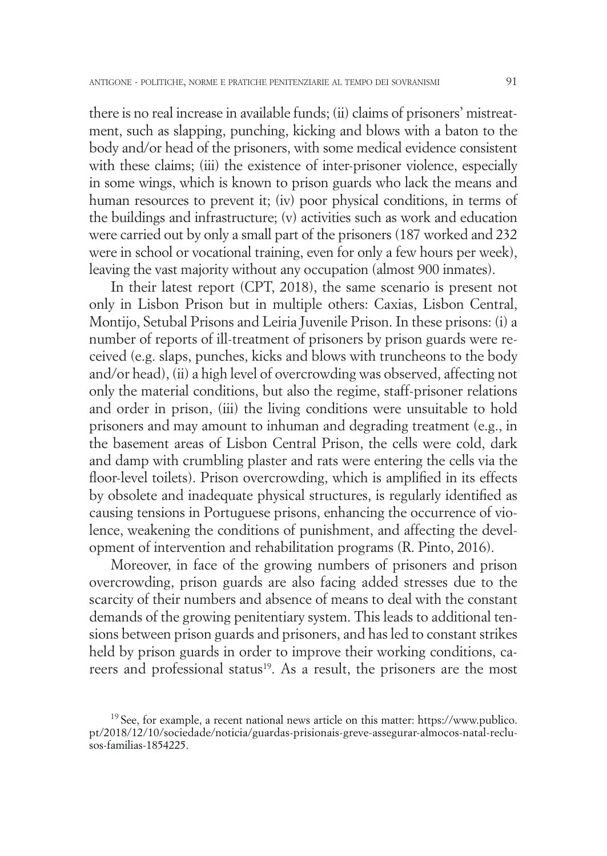there is no real increase in available funds; (ii) claims of prisoners' mistreatment, such as slapping, punching, kicking and blows with a baton to the body and/or head of the prisoners, with some medical evidence consistent with these claims; (iii) the existence of inter-prisoner violence, especially in some wings, which is known to prison guards who lack the means and human resources to prevent it; (iv) poor physical conditions, in terms of the buildings and infrastructure; (v) activities such as work and education were carried out by only a small part of the prisoners (187 worked and 232 were in school or vocational training, even for only a few hours per week), leaving the vast majority without any occupation (almost 900 inmates).

In their latest report (CPT, 2018), the same scenario is present not only in Lisbon Prison but in multiple others: Caxias, Lisbon Central, Montijo, Setubal Prisons and Leiria Juvenile Prison. In these prisons: (i) a number of reports of ill-treatment of prisoners by prison guards were received (e.g. slaps, punches, kicks and blows with truncheons to the body and/or head), (ii) a high level of overcrowding was observed, affecting not only the material conditions, but also the regime, staff-prisoner relations and order in prison, (iii) the living conditions were unsuitable to hold prisoners and may amount to inhuman and degrading treatment (e.g., in the basement areas of Lisbon Central Prison, the cells were cold, dark and damp with crumbling plaster and rats were entering the cells via the floor-level toilets). Prison overcrowding, which is amplified in its effects by obsolete and inadequate physical structures, is regularly identified as causing tensions in Portuguese prisons, enhancing the occurrence of violence, weakening the conditions of punishment, and affecting the development of intervention and rehabilitation programs (R. Pinto, 2016).

Moreover, in face of the growing numbers of prisoners and prison overcrowding, prison guards are also facing added stresses due to the scarcity of their numbers and absence of means to deal with the constant demands of the growing penitentiary system. This leads to additional tensions between prison guards and prisoners, and has led to constant strikes held by prison guards in order to improve their working conditions, careers and professional status<sup>19</sup>. As a result, the prisoners are the most

 $19$  See, for example, a recent national news article on this matter: https://www.publico. pt/2018/12/10/sociedade/noticia/guardas-prisionais-greve-assegurar-almocos-natal-reclusos-familias-1854225.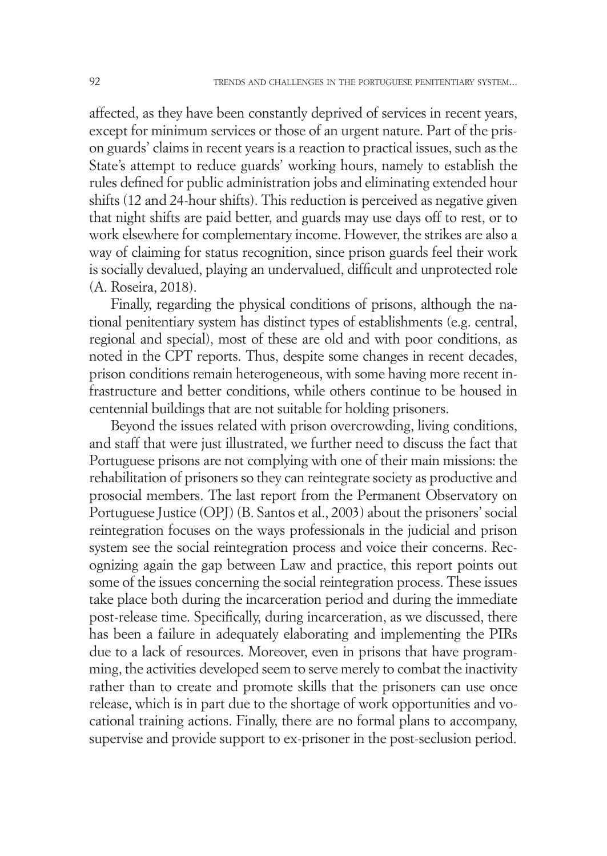affected, as they have been constantly deprived of services in recent years, except for minimum services or those of an urgent nature. Part of the prison guards' claims in recent years is a reaction to practical issues, such as the State's attempt to reduce guards' working hours, namely to establish the rules defined for public administration jobs and eliminating extended hour shifts (12 and 24-hour shifts). This reduction is perceived as negative given that night shifts are paid better, and guards may use days off to rest, or to work elsewhere for complementary income. However, the strikes are also a way of claiming for status recognition, since prison guards feel their work is socially devalued, playing an undervalued, difficult and unprotected role (A. Roseira, 2018).

Finally, regarding the physical conditions of prisons, although the national penitentiary system has distinct types of establishments (e.g. central, regional and special), most of these are old and with poor conditions, as noted in the CPT reports. Thus, despite some changes in recent decades, prison conditions remain heterogeneous, with some having more recent infrastructure and better conditions, while others continue to be housed in centennial buildings that are not suitable for holding prisoners.

Beyond the issues related with prison overcrowding, living conditions, and staff that were just illustrated, we further need to discuss the fact that Portuguese prisons are not complying with one of their main missions: the rehabilitation of prisoners so they can reintegrate society as productive and prosocial members. The last report from the Permanent Observatory on Portuguese Justice (OPJ) (B. Santos et al., 2003) about the prisoners' social reintegration focuses on the ways professionals in the judicial and prison system see the social reintegration process and voice their concerns. Recognizing again the gap between Law and practice, this report points out some of the issues concerning the social reintegration process. These issues take place both during the incarceration period and during the immediate post-release time. Specifically, during incarceration, as we discussed, there has been a failure in adequately elaborating and implementing the PIRs due to a lack of resources. Moreover, even in prisons that have programming, the activities developed seem to serve merely to combat the inactivity rather than to create and promote skills that the prisoners can use once release, which is in part due to the shortage of work opportunities and vocational training actions. Finally, there are no formal plans to accompany, supervise and provide support to ex-prisoner in the post-seclusion period.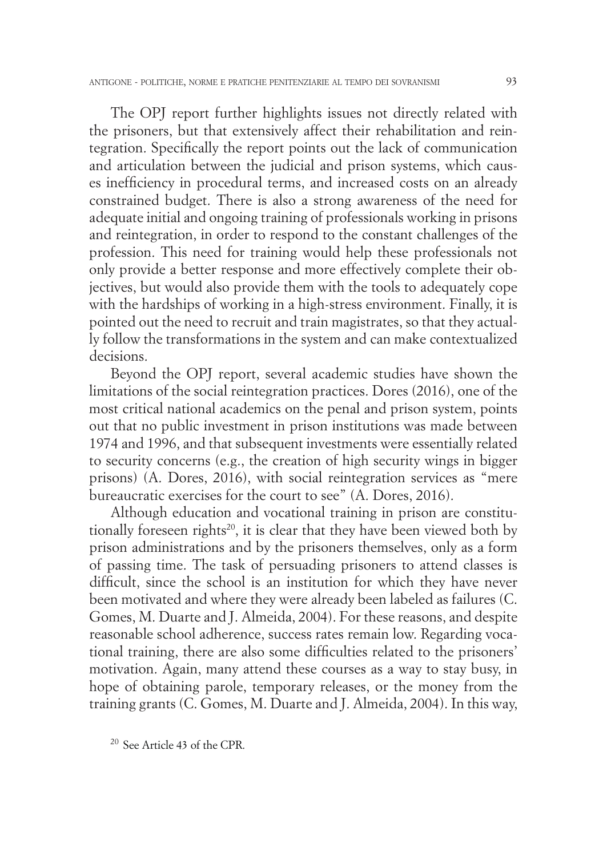The OPJ report further highlights issues not directly related with the prisoners, but that extensively affect their rehabilitation and reintegration. Specifically the report points out the lack of communication and articulation between the judicial and prison systems, which causes inefficiency in procedural terms, and increased costs on an already constrained budget. There is also a strong awareness of the need for adequate initial and ongoing training of professionals working in prisons and reintegration, in order to respond to the constant challenges of the profession. This need for training would help these professionals not only provide a better response and more effectively complete their objectives, but would also provide them with the tools to adequately cope with the hardships of working in a high-stress environment. Finally, it is pointed out the need to recruit and train magistrates, so that they actually follow the transformations in the system and can make contextualized decisions.

Beyond the OPJ report, several academic studies have shown the limitations of the social reintegration practices. Dores (2016), one of the most critical national academics on the penal and prison system, points out that no public investment in prison institutions was made between 1974 and 1996, and that subsequent investments were essentially related to security concerns (e.g., the creation of high security wings in bigger prisons) (A. Dores, 2016), with social reintegration services as "mere bureaucratic exercises for the court to see" (A. Dores, 2016).

Although education and vocational training in prison are constitutionally foreseen rights<sup>20</sup>, it is clear that they have been viewed both by prison administrations and by the prisoners themselves, only as a form of passing time. The task of persuading prisoners to attend classes is difficult, since the school is an institution for which they have never been motivated and where they were already been labeled as failures (C. Gomes, M. Duarte and J. Almeida, 2004). For these reasons, and despite reasonable school adherence, success rates remain low. Regarding vocational training, there are also some difficulties related to the prisoners' motivation. Again, many attend these courses as a way to stay busy, in hope of obtaining parole, temporary releases, or the money from the training grants (C. Gomes, M. Duarte and J. Almeida, 2004). In this way,

<sup>20</sup> See Article 43 of the CPR.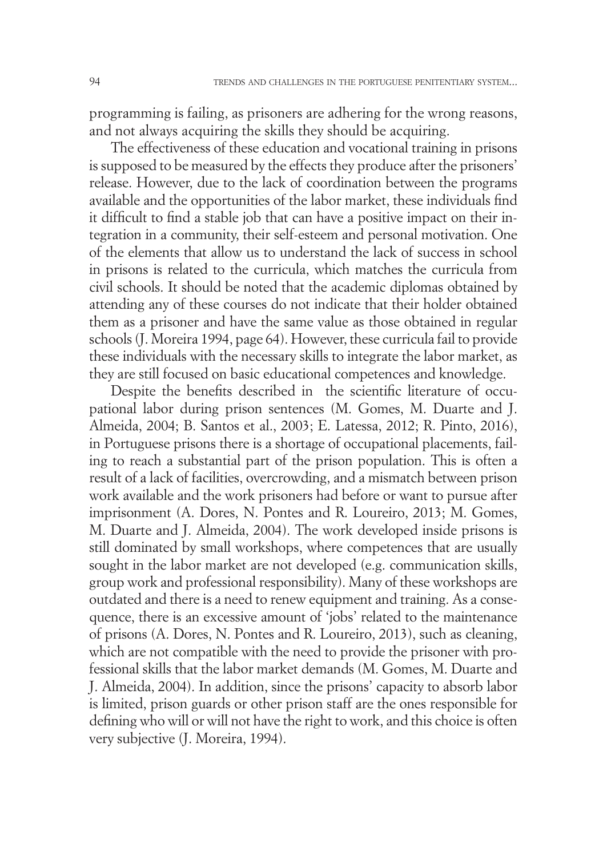programming is failing, as prisoners are adhering for the wrong reasons, and not always acquiring the skills they should be acquiring.

The effectiveness of these education and vocational training in prisons is supposed to be measured by the effects they produce after the prisoners' release. However, due to the lack of coordination between the programs available and the opportunities of the labor market, these individuals find it difficult to find a stable job that can have a positive impact on their integration in a community, their self-esteem and personal motivation. One of the elements that allow us to understand the lack of success in school in prisons is related to the curricula, which matches the curricula from civil schools. It should be noted that the academic diplomas obtained by attending any of these courses do not indicate that their holder obtained them as a prisoner and have the same value as those obtained in regular schools (J. Moreira 1994, page 64). However, these curricula fail to provide these individuals with the necessary skills to integrate the labor market, as they are still focused on basic educational competences and knowledge.

Despite the benefits described in the scientific literature of occupational labor during prison sentences (M. Gomes, M. Duarte and J. Almeida, 2004; B. Santos et al., 2003; E. Latessa, 2012; R. Pinto, 2016), in Portuguese prisons there is a shortage of occupational placements, failing to reach a substantial part of the prison population. This is often a result of a lack of facilities, overcrowding, and a mismatch between prison work available and the work prisoners had before or want to pursue after imprisonment (A. Dores, N. Pontes and R. Loureiro, 2013; M. Gomes, M. Duarte and J. Almeida, 2004). The work developed inside prisons is still dominated by small workshops, where competences that are usually sought in the labor market are not developed (e.g. communication skills, group work and professional responsibility). Many of these workshops are outdated and there is a need to renew equipment and training. As a consequence, there is an excessive amount of 'jobs' related to the maintenance of prisons (A. Dores, N. Pontes and R. Loureiro, 2013), such as cleaning, which are not compatible with the need to provide the prisoner with professional skills that the labor market demands (M. Gomes, M. Duarte and J. Almeida, 2004). In addition, since the prisons' capacity to absorb labor is limited, prison guards or other prison staff are the ones responsible for defining who will or will not have the right to work, and this choice is often very subjective (J. Moreira, 1994).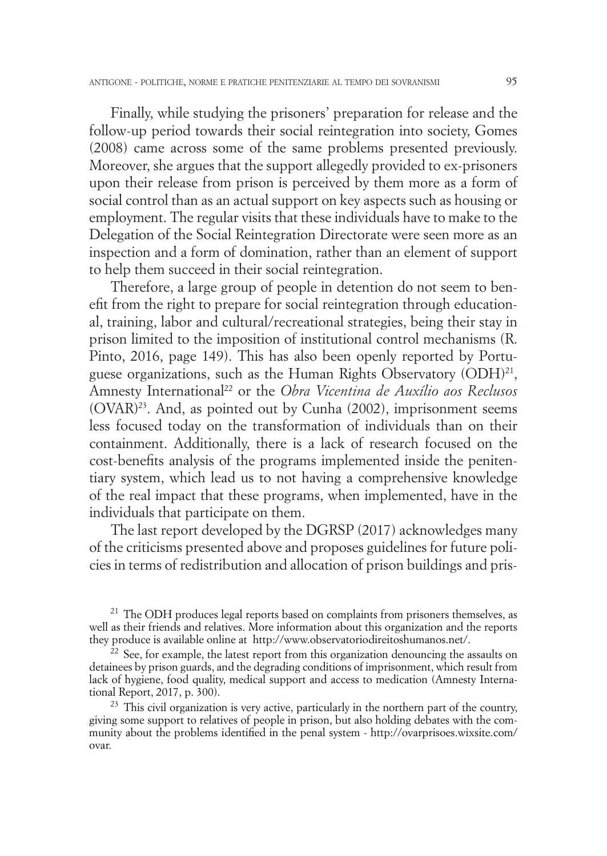Finally, while studying the prisoners' preparation for release and the follow-up period towards their social reintegration into society, Gomes (2008) came across some of the same problems presented previously. Moreover, she argues that the support allegedly provided to ex-prisoners upon their release from prison is perceived by them more as a form of social control than as an actual support on key aspects such as housing or employment. The regular visits that these individuals have to make to the Delegation of the Social Reintegration Directorate were seen more as an inspection and a form of domination, rather than an element of support to help them succeed in their social reintegration.

Therefore, a large group of people in detention do not seem to benefit from the right to prepare for social reintegration through educational, training, labor and cultural/recreational strategies, being their stay in prison limited to the imposition of institutional control mechanisms (R. Pinto, 2016, page 149). This has also been openly reported by Portuguese organizations, such as the Human Rights Observatory (ODH)<sup>21</sup>, Amnesty International22 or the *Obra Vicentina de Auxílio aos Reclusos* (OVAR)23. And, as pointed out by Cunha (2002), imprisonment seems less focused today on the transformation of individuals than on their containment. Additionally, there is a lack of research focused on the cost-benefits analysis of the programs implemented inside the penitentiary system, which lead us to not having a comprehensive knowledge of the real impact that these programs, when implemented, have in the individuals that participate on them.

The last report developed by the DGRSP (2017) acknowledges many of the criticisms presented above and proposes guidelines for future policies in terms of redistribution and allocation of prison buildings and pris-

 $21$  The ODH produces legal reports based on complaints from prisoners themselves, as well as their friends and relatives. More information about this organization and the reports they produce is available online at http://www.observatoriodireitoshumanos.net/.

 $22$  See, for example, the latest report from this organization denouncing the assaults on detainees by prison guards, and the degrading conditions of imprisonment, which result from lack of hygiene, food quality, medical support and access to medication (Amnesty International Report, 2017, p. 300).

 $23$  This civil organization is very active, particularly in the northern part of the country, giving some support to relatives of people in prison, but also holding debates with the community about the problems identified in the penal system - http://ovarprisoes.wixsite.com/ ovar.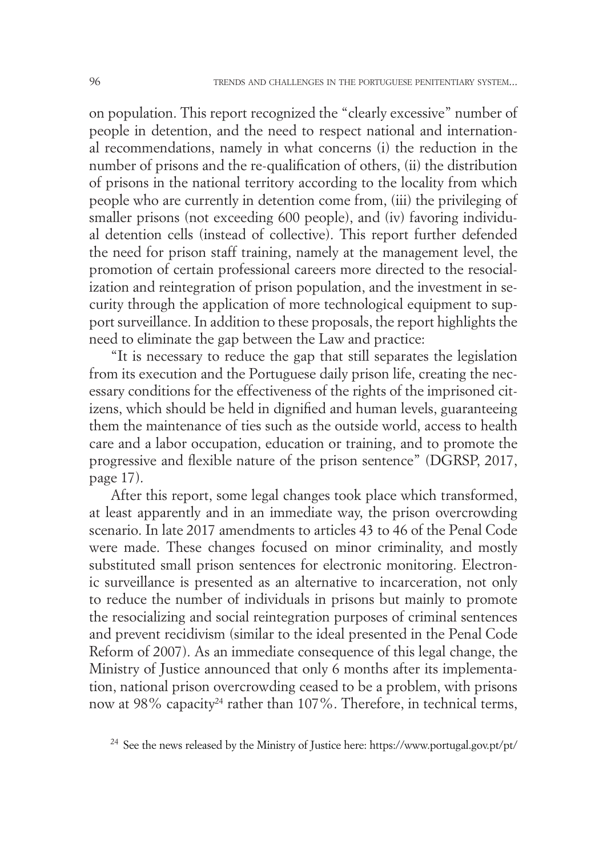on population. This report recognized the "clearly excessive" number of people in detention, and the need to respect national and international recommendations, namely in what concerns (i) the reduction in the number of prisons and the re-qualification of others, (ii) the distribution of prisons in the national territory according to the locality from which people who are currently in detention come from, (iii) the privileging of smaller prisons (not exceeding 600 people), and (iv) favoring individual detention cells (instead of collective). This report further defended the need for prison staff training, namely at the management level, the promotion of certain professional careers more directed to the resocialization and reintegration of prison population, and the investment in security through the application of more technological equipment to support surveillance. In addition to these proposals, the report highlights the need to eliminate the gap between the Law and practice:

"It is necessary to reduce the gap that still separates the legislation from its execution and the Portuguese daily prison life, creating the necessary conditions for the effectiveness of the rights of the imprisoned citizens, which should be held in dignified and human levels, guaranteeing them the maintenance of ties such as the outside world, access to health care and a labor occupation, education or training, and to promote the progressive and flexible nature of the prison sentence" (DGRSP, 2017, page 17).

After this report, some legal changes took place which transformed, at least apparently and in an immediate way, the prison overcrowding scenario. In late 2017 amendments to articles 43 to 46 of the Penal Code were made. These changes focused on minor criminality, and mostly substituted small prison sentences for electronic monitoring. Electronic surveillance is presented as an alternative to incarceration, not only to reduce the number of individuals in prisons but mainly to promote the resocializing and social reintegration purposes of criminal sentences and prevent recidivism (similar to the ideal presented in the Penal Code Reform of 2007). As an immediate consequence of this legal change, the Ministry of Justice announced that only 6 months after its implementation, national prison overcrowding ceased to be a problem, with prisons now at 98% capacity<sup>24</sup> rather than 107%. Therefore, in technical terms,

<sup>24</sup> See the news released by the Ministry of Justice here: https://www.portugal.gov.pt/pt/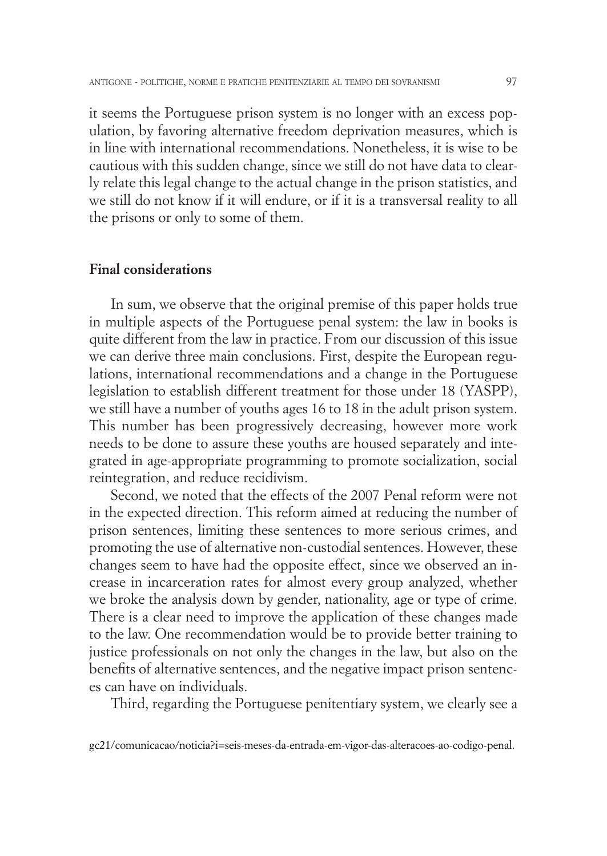it seems the Portuguese prison system is no longer with an excess population, by favoring alternative freedom deprivation measures, which is in line with international recommendations. Nonetheless, it is wise to be cautious with this sudden change, since we still do not have data to clearly relate this legal change to the actual change in the prison statistics, and we still do not know if it will endure, or if it is a transversal reality to all the prisons or only to some of them.

#### **Final considerations**

In sum, we observe that the original premise of this paper holds true in multiple aspects of the Portuguese penal system: the law in books is quite different from the law in practice. From our discussion of this issue we can derive three main conclusions. First, despite the European regulations, international recommendations and a change in the Portuguese legislation to establish different treatment for those under 18 (YASPP), we still have a number of youths ages 16 to 18 in the adult prison system. This number has been progressively decreasing, however more work needs to be done to assure these youths are housed separately and integrated in age-appropriate programming to promote socialization, social reintegration, and reduce recidivism.

Second, we noted that the effects of the 2007 Penal reform were not in the expected direction. This reform aimed at reducing the number of prison sentences, limiting these sentences to more serious crimes, and promoting the use of alternative non-custodial sentences. However, these changes seem to have had the opposite effect, since we observed an increase in incarceration rates for almost every group analyzed, whether we broke the analysis down by gender, nationality, age or type of crime. There is a clear need to improve the application of these changes made to the law. One recommendation would be to provide better training to justice professionals on not only the changes in the law, but also on the benefits of alternative sentences, and the negative impact prison sentences can have on individuals.

Third, regarding the Portuguese penitentiary system, we clearly see a

gc21/comunicacao/noticia?i=seis-meses-da-entrada-em-vigor-das-alteracoes-ao-codigo-penal.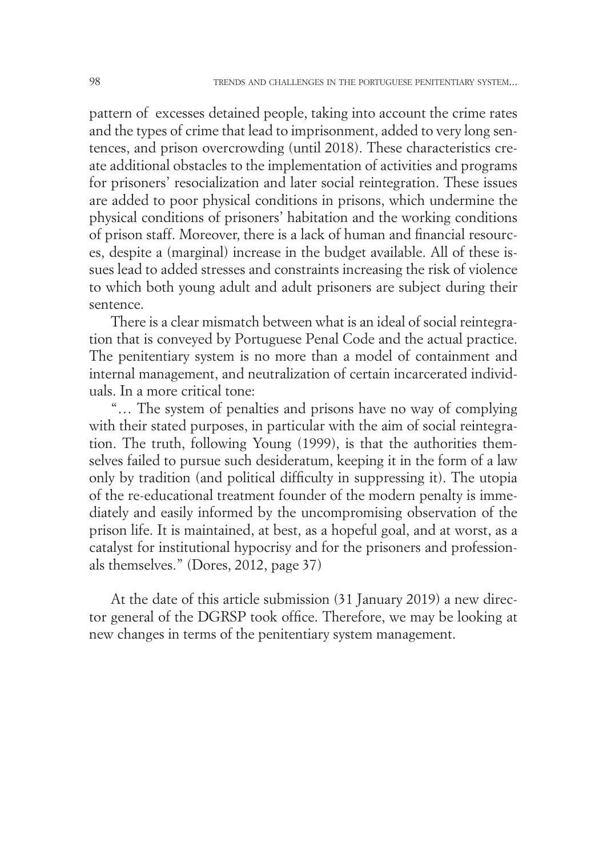pattern of excesses detained people, taking into account the crime rates and the types of crime that lead to imprisonment, added to very long sentences, and prison overcrowding (until 2018). These characteristics create additional obstacles to the implementation of activities and programs for prisoners' resocialization and later social reintegration. These issues are added to poor physical conditions in prisons, which undermine the physical conditions of prisoners' habitation and the working conditions of prison staff. Moreover, there is a lack of human and financial resources, despite a (marginal) increase in the budget available. All of these issues lead to added stresses and constraints increasing the risk of violence to which both young adult and adult prisoners are subject during their sentence.

There is a clear mismatch between what is an ideal of social reintegration that is conveyed by Portuguese Penal Code and the actual practice. The penitentiary system is no more than a model of containment and internal management, and neutralization of certain incarcerated individuals. In a more critical tone:

"… The system of penalties and prisons have no way of complying with their stated purposes, in particular with the aim of social reintegration. The truth, following Young (1999), is that the authorities themselves failed to pursue such desideratum, keeping it in the form of a law only by tradition (and political difficulty in suppressing it). The utopia of the re-educational treatment founder of the modern penalty is immediately and easily informed by the uncompromising observation of the prison life. It is maintained, at best, as a hopeful goal, and at worst, as a catalyst for institutional hypocrisy and for the prisoners and professionals themselves." (Dores, 2012, page 37)

At the date of this article submission (31 January 2019) a new director general of the DGRSP took office. Therefore, we may be looking at new changes in terms of the penitentiary system management.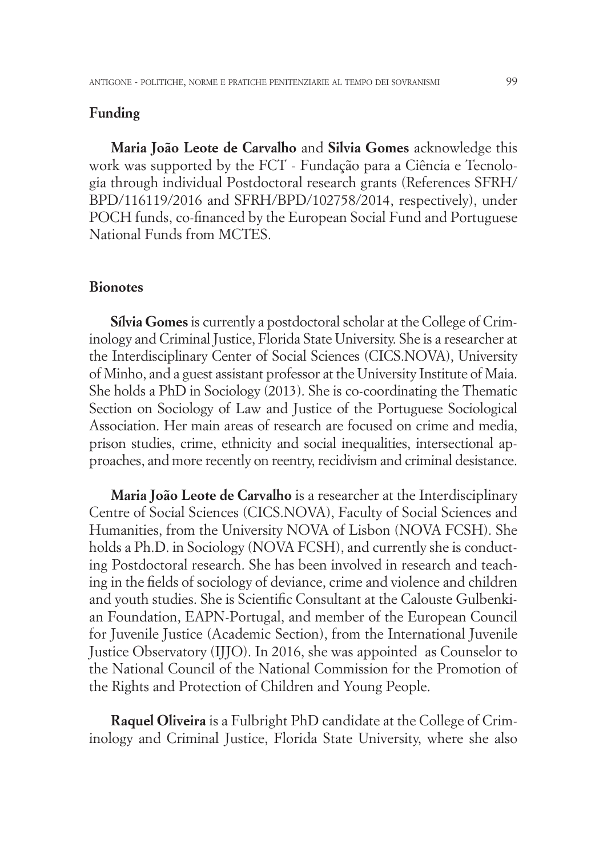### **Funding**

**Maria João Leote de Carvalho** and **Silvia Gomes** acknowledge this work was supported by the FCT - Fundação para a Ciência e Tecnologia through individual Postdoctoral research grants (References SFRH/ BPD/116119/2016 and SFRH/BPD/102758/2014, respectively), under POCH funds, co-financed by the European Social Fund and Portuguese National Funds from MCTES.

#### **Bionotes**

**Sílvia Gomes** is currently a postdoctoral scholar at the College of Criminology and Criminal Justice, Florida State University. She is a researcher at the Interdisciplinary Center of Social Sciences (CICS.NOVA), University of Minho, and a guest assistant professor at the University Institute of Maia. She holds a PhD in Sociology (2013). She is co-coordinating the Thematic Section on Sociology of Law and Justice of the Portuguese Sociological Association. Her main areas of research are focused on crime and media, prison studies, crime, ethnicity and social inequalities, intersectional approaches, and more recently on reentry, recidivism and criminal desistance.

**Maria João Leote de Carvalho** is a researcher at the Interdisciplinary Centre of Social Sciences (CICS.NOVA), Faculty of Social Sciences and Humanities, from the University NOVA of Lisbon (NOVA FCSH). She holds a Ph.D. in Sociology (NOVA FCSH), and currently she is conducting Postdoctoral research. She has been involved in research and teaching in the fields of sociology of deviance, crime and violence and children and youth studies. She is Scientific Consultant at the Calouste Gulbenkian Foundation, EAPN-Portugal, and member of the European Council for Juvenile Justice (Academic Section), from the International Juvenile Justice Observatory (IJJO). In 2016, she was appointed as Counselor to the National Council of the National Commission for the Promotion of the Rights and Protection of Children and Young People.

**Raquel Oliveira** is a Fulbright PhD candidate at the College of Criminology and Criminal Justice, Florida State University, where she also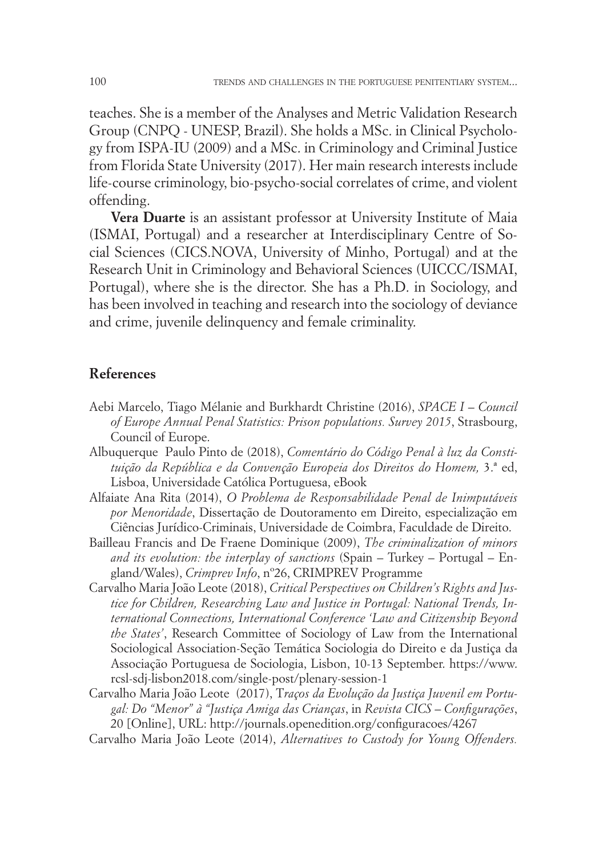teaches. She is a member of the Analyses and Metric Validation Research Group (CNPQ - UNESP, Brazil). She holds a MSc. in Clinical Psychology from ISPA-IU (2009) and a MSc. in Criminology and Criminal Justice from Florida State University (2017). Her main research interests include life-course criminology, bio-psycho-social correlates of crime, and violent offending.

**Vera Duarte** is an assistant professor at University Institute of Maia (ISMAI, Portugal) and a researcher at Interdisciplinary Centre of Social Sciences (CICS.NOVA, University of Minho, Portugal) and at the Research Unit in Criminology and Behavioral Sciences (UICCC/ISMAI, Portugal), where she is the director. She has a Ph.D. in Sociology, and has been involved in teaching and research into the sociology of deviance and crime, juvenile delinquency and female criminality.

#### **References**

- Aebi Marcelo, Tiago Mélanie and Burkhardt Christine (2016), *SPACE I Council of Europe Annual Penal Statistics: Prison populations. Survey 2015*, Strasbourg, Council of Europe.
- Albuquerque Paulo Pinto de (2018), *Comentário do Código Penal à luz da Constituição da República e da Convenção Europeia dos Direitos do Homem,* 3.ª ed, Lisboa, Universidade Católica Portuguesa, eBook
- Alfaiate Ana Rita (2014), *O Problema de Responsabilidade Penal de Inimputáveis por Menoridade*, Dissertação de Doutoramento em Direito, especialização em Ciências Jurídico-Criminais, Universidade de Coimbra, Faculdade de Direito.
- Bailleau Francis and De Fraene Dominique (2009), *The criminalization of minors and its evolution: the interplay of sanctions* (Spain – Turkey – Portugal – England/Wales), *Crimprev Info*, nº26, CRIMPREV Programme
- Carvalho Maria João Leote (2018), *Critical Perspectives on Children's Rights and Justice for Children, Researching Law and Justice in Portugal: National Trends, International Connections, International Conference 'Law and Citizenship Beyond the States'*, Research Committee of Sociology of Law from the International Sociological Association-Seção Temática Sociologia do Direito e da Justiça da Associação Portuguesa de Sociologia, Lisbon, 10-13 September. https://www. rcsl-sdj-lisbon2018.com/single-post/plenary-session-1
- Carvalho Maria João Leote (2017), T*raços da Evolução da Justiça Juvenil em Portugal: Do "Menor" à "Justiça Amiga das Crianças*, in *Revista CICS – Configurações*, 20 [Online], URL: http://journals.openedition.org/configuracoes/4267
- Carvalho Maria João Leote (2014), *Alternatives to Custody for Young Offenders.*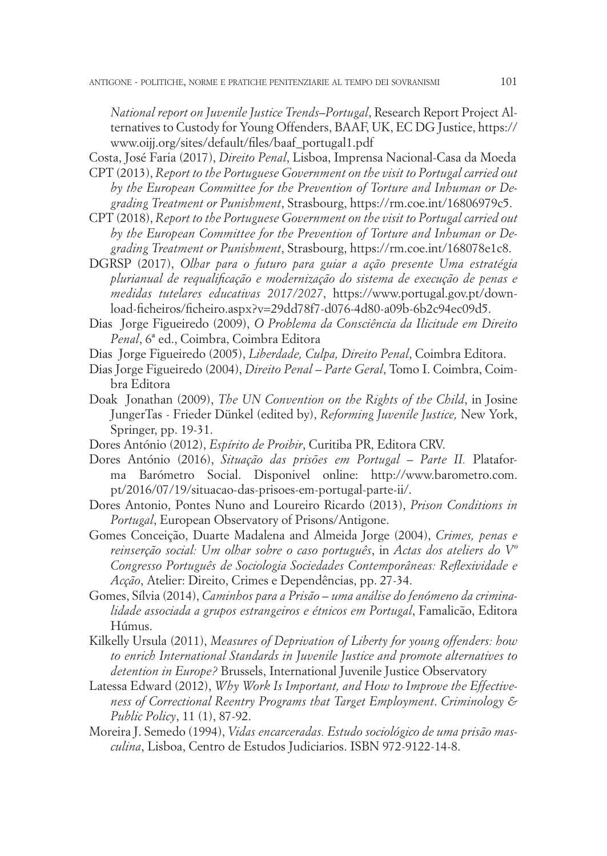*National report on Juvenile Justice Trends–Portugal*, Research Report Project Alternatives to Custody for Young Offenders, BAAF, UK, EC DG Justice, https:// www.oijj.org/sites/default/files/baaf\_portugal1.pdf

Costa, José Faria (2017), *Direito Penal*, Lisboa, Imprensa Nacional-Casa da Moeda CPT (2013), *Report to the Portuguese Government on the visit to Portugal carried out* 

- *by the European Committee for the Prevention of Torture and Inhuman or Degrading Treatment or Punishment*, Strasbourg, https://rm.coe.int/16806979c5.
- CPT (2018), *Report to the Portuguese Government on the visit to Portugal carried out by the European Committee for the Prevention of Torture and Inhuman or Degrading Treatment or Punishment*, Strasbourg, https://rm.coe.int/168078e1c8.
- DGRSP (2017), *Olhar para o futuro para guiar a ação presente Uma estratégia plurianual de requalificação e modernização do sistema de execução de penas e medidas tutelares educativas 2017/2027*, https://www.portugal.gov.pt/download-ficheiros/ficheiro.aspx?v=29dd78f7-d076-4d80-a09b-6b2c94ec09d5.
- Dias Jorge Figueiredo (2009), *O Problema da Consciência da Ilicitude em Direito Penal*, 6ª ed., Coimbra, Coimbra Editora
- Dias Jorge Figueiredo (2005), *Liberdade, Culpa, Direito Penal*, Coimbra Editora.
- Dias Jorge Figueiredo (2004), *Direito Penal Parte Geral*, Tomo I. Coimbra, Coimbra Editora
- Doak Jonathan (2009), *The UN Convention on the Rights of the Child*, in Josine JungerTas - Frieder Dünkel (edited by), *Reforming Juvenile Justice,* New York, Springer, pp. 19-31.
- Dores António (2012), *Espírito de Proibir*, Curitiba PR, Editora CRV.
- Dores António (2016), *Situação das prisões em Portugal Parte II.* Plataforma Barómetro Social. Disponivel online: http://www.barometro.com. pt/2016/07/19/situacao-das-prisoes-em-portugal-parte-ii/.
- Dores Antonio, Pontes Nuno and Loureiro Ricardo (2013), *Prison Conditions in Portugal*, European Observatory of Prisons/Antigone.
- Gomes Conceição, Duarte Madalena and Almeida Jorge (2004), *Crimes, penas e reinserção social: Um olhar sobre o caso português*, in *Actas dos ateliers do Vº Congresso Português de Sociologia Sociedades Contemporâneas: Reflexividade e Acção*, Atelier: Direito, Crimes e Dependências, pp. 27-34.
- Gomes, Sílvia (2014), *Caminhos para a Prisão uma análise do fenómeno da criminalidade associada a grupos estrangeiros e étnicos em Portugal*, Famalicão, Editora Húmus.
- Kilkelly Ursula (2011), *Measures of Deprivation of Liberty for young offenders: how to enrich International Standards in Juvenile Justice and promote alternatives to detention in Europe?* Brussels, International Juvenile Justice Observatory
- Latessa Edward (2012), *Why Work Is Important, and How to Improve the Effectiveness of Correctional Reentry Programs that Target Employment*. *Criminology & Public Policy*, 11 (1), 87-92.
- Moreira J. Semedo (1994), *Vidas encarceradas. Estudo sociológico de uma prisão masculina*, Lisboa, Centro de Estudos Judiciarios. ISBN 972-9122-14-8.